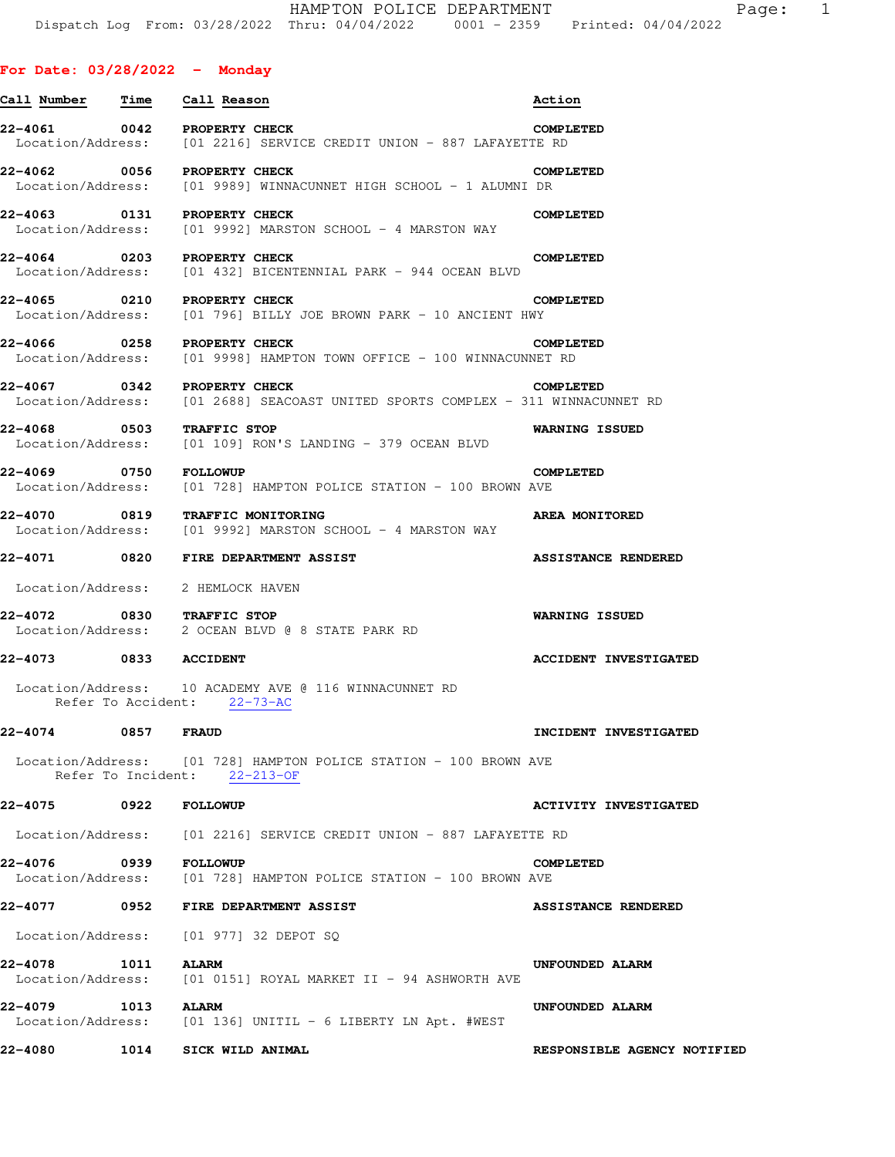| Call Number Time                  |             | Call Reason                                                                                                    | Action                       |
|-----------------------------------|-------------|----------------------------------------------------------------------------------------------------------------|------------------------------|
|                                   |             | 22-4061 0042 PROPERTY CHECK<br>Location/Address: [01 2216] SERVICE CREDIT UNION - 887 LAFAYETTE RD             | <b>COMPLETED</b>             |
|                                   |             | 22-4062 0056 PROPERTY CHECK<br>Location/Address: [01 9989] WINNACUNNET HIGH SCHOOL - 1 ALUMNI DR               | <b>COMPLETED</b>             |
|                                   |             | 22-4063 0131 PROPERTY CHECK<br>Location/Address:     [01 9992] MARSTON SCHOOL – 4 MARSTON WAY                  | <b>COMPLETED</b>             |
| 22–4064                           |             | 0203 PROPERTY CHECK<br>Location/Address: [01 432] BICENTENNIAL PARK - 944 OCEAN BLVD                           | <b>COMPLETED</b>             |
|                                   |             | 22-4065 0210 PROPERTY CHECK<br>Location/Address: [01 796] BILLY JOE BROWN PARK - 10 ANCIENT HWY                | <b>COMPLETED</b>             |
| 22-4066                           | 0258        | PROPERTY CHECK<br>Location/Address: [01 9998] HAMPTON TOWN OFFICE - 100 WINNACUNNET RD                         | <b>COMPLETED</b>             |
|                                   |             | 22-4067 0342 PROPERTY CHECK<br>Location/Address: [01 2688] SEACOAST UNITED SPORTS COMPLEX - 311 WINNACUNNET RD | <b>COMPLETED</b>             |
| 22-4068 0503<br>Location/Address: |             | TRAFFIC STOP<br>$[01 109]$ RON'S LANDING - 379 OCEAN BLVD                                                      | <b>WARNING ISSUED</b>        |
| 22-4069 0750                      |             | <b>FOLLOWUP</b><br>Location/Address: [01 728] HAMPTON POLICE STATION - 100 BROWN AVE                           | <b>COMPLETED</b>             |
| 22-4070 0819                      |             | TRAFFIC MONITORING<br>Location/Address: [01 9992] MARSTON SCHOOL - 4 MARSTON WAY                               | AREA MONITORED               |
|                                   |             | <b>22-4071 6820 FIRE DEPARTMENT ASSIST</b>                                                                     | <b>ASSISTANCE RENDERED</b>   |
|                                   |             | Location/Address: 2 HEMLOCK HAVEN                                                                              |                              |
|                                   |             | 22-4072 0830 TRAFFIC STOP<br>Location/Address: 2 OCEAN BLVD @ 8 STATE PARK RD                                  | <b>WARNING ISSUED</b>        |
| <b>22-4073 0833 ACCIDENT</b>      |             |                                                                                                                | <b>ACCIDENT INVESTIGATED</b> |
|                                   |             | Location/Address: 10 ACADEMY AVE @ 116 WINNACUNNET RD<br>Refer To Accident: 22-73-AC                           |                              |
| 22-4074 0857 FRAUD                |             |                                                                                                                | INCIDENT INVESTIGATED        |
|                                   |             | Location/Address: [01 728] HAMPTON POLICE STATION - 100 BROWN AVE<br>Refer To Incident: 22-213-OF              |                              |
| 22-4075 0922                      |             | <b>FOLLOWUP</b>                                                                                                | <b>ACTIVITY INVESTIGATED</b> |
|                                   |             | Location/Address: [01 2216] SERVICE CREDIT UNION - 887 LAFAYETTE RD                                            |                              |
| 22-4076                           | 0939        | <b>FOLLOWUP</b><br>Location/Address: [01 728] HAMPTON POLICE STATION - 100 BROWN AVE                           | <b>COMPLETED</b>             |
| 22-4077                           | $\sim$ 0952 | FIRE DEPARTMENT ASSIST                                                                                         | <b>ASSISTANCE RENDERED</b>   |
|                                   |             | Location/Address: [01 977] 32 DEPOT SQ                                                                         |                              |
| 22-4078                           | 1011        | <b>ALARM</b><br>$Location/Address:$ [01 0151] ROYAL MARKET II - 94 ASHWORTH AVE                                | UNFOUNDED ALARM              |
| 22-4079                           | 1013        | <b>ALARM</b><br>Location/Address: [01 136] UNITIL - 6 LIBERTY LN Apt. #WEST                                    | UNFOUNDED ALARM              |
| 22-4080                           | 1014        | SICK WILD ANIMAL                                                                                               | RESPONSIBLE AGENCY NOTIFIED  |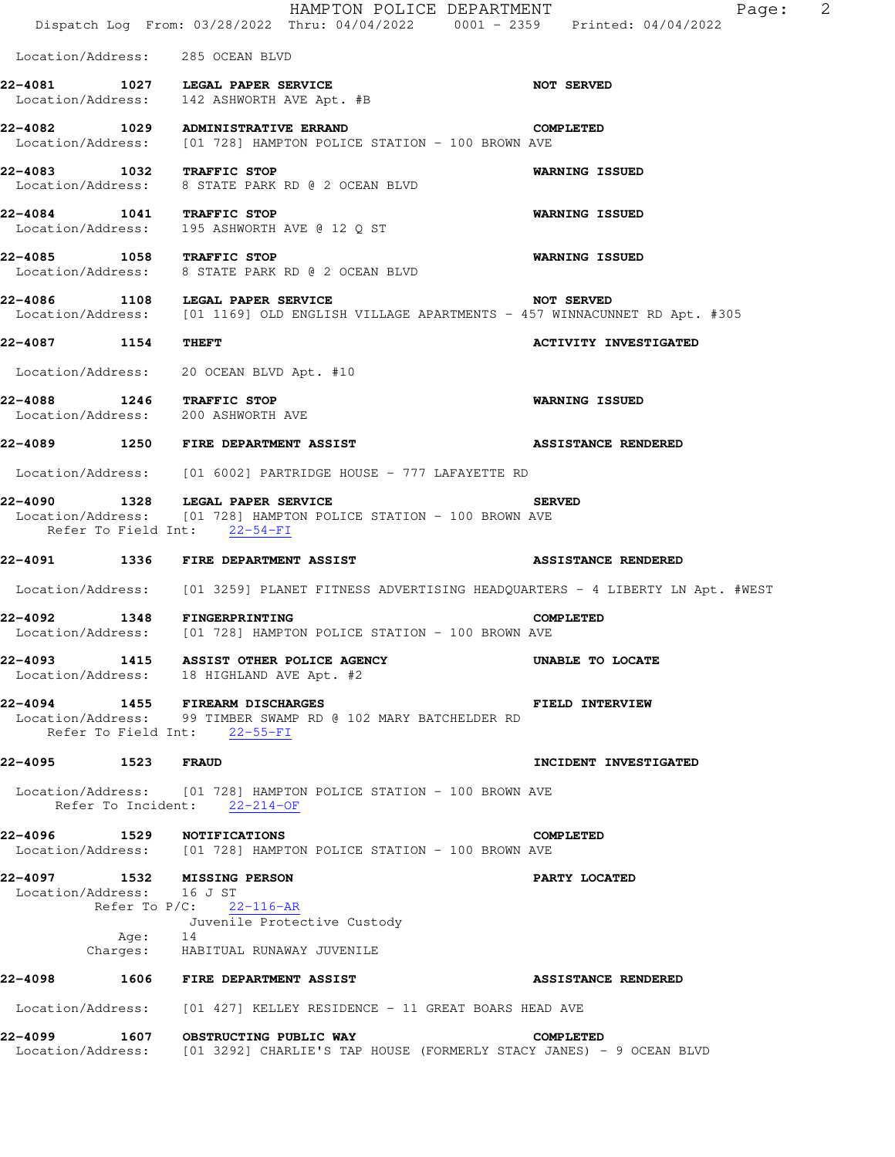|                           |         | HAMPTON POLICE DEPARTMENT<br>Dispatch Log From: 03/28/2022 Thru: 04/04/2022 0001 - 2359 Printed: 04/04/2022                           | Page: 2                      |
|---------------------------|---------|---------------------------------------------------------------------------------------------------------------------------------------|------------------------------|
|                           |         | Location/Address: 285 OCEAN BLVD                                                                                                      |                              |
|                           |         | 22-4081 1027 LEGAL PAPER SERVICE<br>Location/Address: 142 ASHWORTH AVE Apt. #B                                                        | <b>NOT SERVED</b>            |
|                           |         | 22-4082 1029 ADMINISTRATIVE ERRAND<br>Location/Address: [01 728] HAMPTON POLICE STATION - 100 BROWN AVE                               | <b>COMPLETED</b>             |
|                           |         | 22-4083 1032 TRAFFIC STOP<br>Location/Address: 8 STATE PARK RD @ 2 OCEAN BLVD                                                         | <b>WARNING ISSUED</b>        |
| 22-4084 1041 TRAFFIC STOP |         | Location/Address: 195 ASHWORTH AVE @ 12 Q ST                                                                                          | <b>WARNING ISSUED</b>        |
| 22-4085 1058 TRAFFIC STOP |         | Location/Address: 8 STATE PARK RD @ 2 OCEAN BLVD                                                                                      | <b>WARNING ISSUED</b>        |
|                           |         | 22-4086 1108 LEGAL PAPER SERVICE<br>Location/Address: [01 1169] OLD ENGLISH VILLAGE APARTMENTS - 457 WINNACUNNET RD Apt. #305         | <b>NOT SERVED</b>            |
| 22-4087 1154 THEFT        |         |                                                                                                                                       | <b>ACTIVITY INVESTIGATED</b> |
|                           |         | Location/Address: 20 OCEAN BLVD Apt. #10                                                                                              |                              |
| 22-4088 1246 TRAFFIC STOP |         | Location/Address: 200 ASHWORTH AVE                                                                                                    | WARNING ISSUED               |
|                           |         | 22-4089 1250 FIRE DEPARTMENT ASSIST                                                                                                   | <b>ASSISTANCE RENDERED</b>   |
|                           |         | Location/Address: [01 6002] PARTRIDGE HOUSE - 777 LAFAYETTE RD                                                                        |                              |
|                           |         | 22-4090 1328 LEGAL PAPER SERVICE<br>Location/Address: [01 728] HAMPTON POLICE STATION - 100 BROWN AVE<br>Refer To Field Int: 22-54-FI | <b>SERVED</b>                |
|                           |         | 22-4091 1336 FIRE DEPARTMENT ASSIST                                                                                                   | <b>ASSISTANCE RENDERED</b>   |
|                           |         | Location/Address: [01 3259] PLANET FITNESS ADVERTISING HEADQUARTERS - 4 LIBERTY LN Apt. #WEST                                         |                              |
|                           |         | 22-4092 1348 FINGERPRINTING<br>Location/Address: [01 728] HAMPTON POLICE STATION - 100 BROWN AVE                                      | <b>COMPLETED</b>             |
|                           |         | 22-4093 1415 ASSIST OTHER POLICE AGENCY<br>Location/Address: 18 HIGHLAND AVE Apt. #2                                                  | UNABLE TO LOCATE             |
|                           |         | 22-4094 1455 FIREARM DISCHARGES<br>Location/Address: 99 TIMBER SWAMP RD @ 102 MARY BATCHELDER RD<br>Refer To Field Int: 22-55-FI      | <b>FIELD INTERVIEW</b>       |
| 22-4095 1523 FRAUD        |         |                                                                                                                                       | INCIDENT INVESTIGATED        |
|                           |         | Location/Address: [01 728] HAMPTON POLICE STATION - 100 BROWN AVE<br>Refer To Incident: 22-214-OF                                     |                              |
|                           |         | 22-4096 1529 NOTIFICATIONS<br>Location/Address: [01 728] HAMPTON POLICE STATION - 100 BROWN AVE                                       | <b>COMPLETED</b>             |
| Location/Address: 16 J ST | Age: 14 | 22-4097 1532 MISSING PERSON<br>Refer To $P/C$ : 22-116-AR<br>Juvenile Protective Custody                                              | PARTY LOCATED                |
|                           |         | Charges: HABITUAL RUNAWAY JUVENILE                                                                                                    |                              |
|                           |         | 22-4098 1606 FIRE DEPARTMENT ASSIST                                                                                                   | <b>ASSISTANCE RENDERED</b>   |
|                           |         | Location/Address: [01 427] KELLEY RESIDENCE - 11 GREAT BOARS HEAD AVE                                                                 |                              |
|                           |         | 22-4099 1607 OBSTRUCTING PUBLIC WAY<br>Location/Address: [01 3292] CHARLIE'S TAP HOUSE (FORMERLY STACY JANES) - 9 OCEAN BLVD          | <b>COMPLETED</b>             |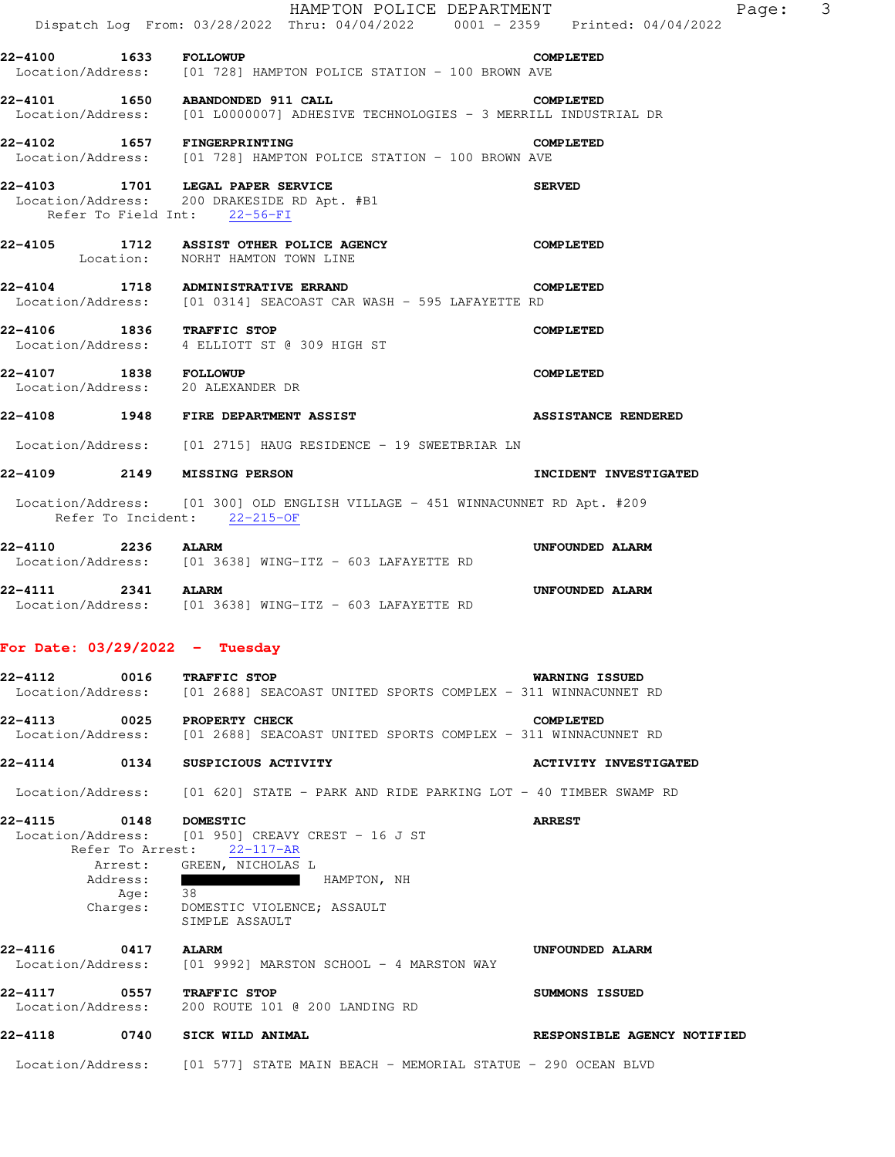|                                                                  | HAMPTON POLICE DEPARTMENT<br>Dispatch Log From: 03/28/2022 Thru: 04/04/2022 0001 - 2359 Printed: 04/04/2022 |                              | Page: 3 |  |
|------------------------------------------------------------------|-------------------------------------------------------------------------------------------------------------|------------------------------|---------|--|
| 22-4100 1633 FOLLOWUP                                            | Location/Address: [01 728] HAMPTON POLICE STATION - 100 BROWN AVE                                           | <b>COMPLETED</b>             |         |  |
| 22-4101 1650 ABANDONDED 911 CALL                                 | Location/Address: [01 L0000007] ADHESIVE TECHNOLOGIES - 3 MERRILL INDUSTRIAL DR                             | <b>COMPLETED</b>             |         |  |
| 22-4102 1657 FINGERPRINTING                                      | Location/Address: [01 728] HAMPTON POLICE STATION - 100 BROWN AVE                                           | <b>COMPLETED</b>             |         |  |
| 22-4103 1701 LEGAL PAPER SERVICE<br>Refer To Field Int: 22-56-FI | Location/Address: 200 DRAKESIDE RD Apt. #B1                                                                 | <b>SERVED</b>                |         |  |
|                                                                  | 22-4105 1712 ASSIST OTHER POLICE AGENCY<br>Location: NORHT HAMTON TOWN LINE                                 | <b>COMPLETED</b>             |         |  |
|                                                                  | 22-4104 1718 ADMINISTRATIVE ERRAND<br>Location/Address: [01 0314] SEACOAST CAR WASH - 595 LAFAYETTE RD      | <b>COMPLETED</b>             |         |  |
| 22-4106 1836 TRAFFIC STOP                                        | Location/Address: 4 ELLIOTT ST @ 309 HIGH ST                                                                | COMPLETED                    |         |  |
| 22-4107 1838 FOLLOWUP<br>Location/Address: 20 ALEXANDER DR       |                                                                                                             | <b>COMPLETED</b>             |         |  |
|                                                                  | 22-4108 1948 FIRE DEPARTMENT ASSIST                                                                         | <b>ASSISTANCE RENDERED</b>   |         |  |
|                                                                  | Location/Address: [01 2715] HAUG RESIDENCE - 19 SWEETBRIAR LN                                               |                              |         |  |
| 22-4109 2149 MISSING PERSON                                      |                                                                                                             | INCIDENT INVESTIGATED        |         |  |
| Refer To Incident: 22-215-OF                                     | Location/Address: [01 300] OLD ENGLISH VILLAGE - 451 WINNACUNNET RD Apt. #209                               |                              |         |  |
| 22-4110 2236 ALARM                                               | Location/Address: [01 3638] WING-ITZ - 603 LAFAYETTE RD                                                     | UNFOUNDED ALARM              |         |  |
| 22-4111 2341 ALARM                                               | Location/Address: [01 3638] WING-ITZ - 603 LAFAYETTE RD                                                     | UNFOUNDED ALARM              |         |  |
| For Date: $03/29/2022 - Tuesday$                                 |                                                                                                             |                              |         |  |
| 22-4112 0016 TRAFFIC STOP                                        | Location/Address: [01 2688] SEACOAST UNITED SPORTS COMPLEX - 311 WINNACUNNET RD                             | <b>WARNING ISSUED</b>        |         |  |
| 22-4113                                                          | 0025 PROPERTY CHECK<br>Location/Address: [01 2688] SEACOAST UNITED SPORTS COMPLEX - 311 WINNACUNNET RD      | <b>COMPLETED</b>             |         |  |
| 22-4114                                                          | 0134 SUSPICIOUS ACTIVITY                                                                                    | <b>ACTIVITY INVESTIGATED</b> |         |  |
| Location/Address:                                                | [01 620] STATE - PARK AND RIDE PARKING LOT - 40 TIMBER SWAMP RD                                             |                              |         |  |
|                                                                  | $Location/Address:$ [01 950] CREAVY CREST - 16 J ST<br>Refer To Arrest: 22-117-AR                           | <b>ARREST</b>                |         |  |
| Address:                                                         | Arrest: GREEN, NICHOLAS L<br>HAMPTON, NH                                                                    |                              |         |  |
| Age:<br>Charges:                                                 | 38<br>DOMESTIC VIOLENCE; ASSAULT<br>SIMPLE ASSAULT                                                          |                              |         |  |
| 0417 ALARM<br>22-4116                                            | Location/Address: [01 9992] MARSTON SCHOOL - 4 MARSTON WAY                                                  | UNFOUNDED ALARM              |         |  |
| 22-4117 0557 TRAFFIC STOP                                        | Location/Address: 200 ROUTE 101 @ 200 LANDING RD                                                            | <b>SUMMONS ISSUED</b>        |         |  |
| 22-4118 0740 SICK WILD ANIMAL                                    |                                                                                                             | RESPONSIBLE AGENCY NOTIFIED  |         |  |
|                                                                  | Location/Address: [01 577] STATE MAIN BEACH - MEMORIAL STATUE - 290 OCEAN BLVD                              |                              |         |  |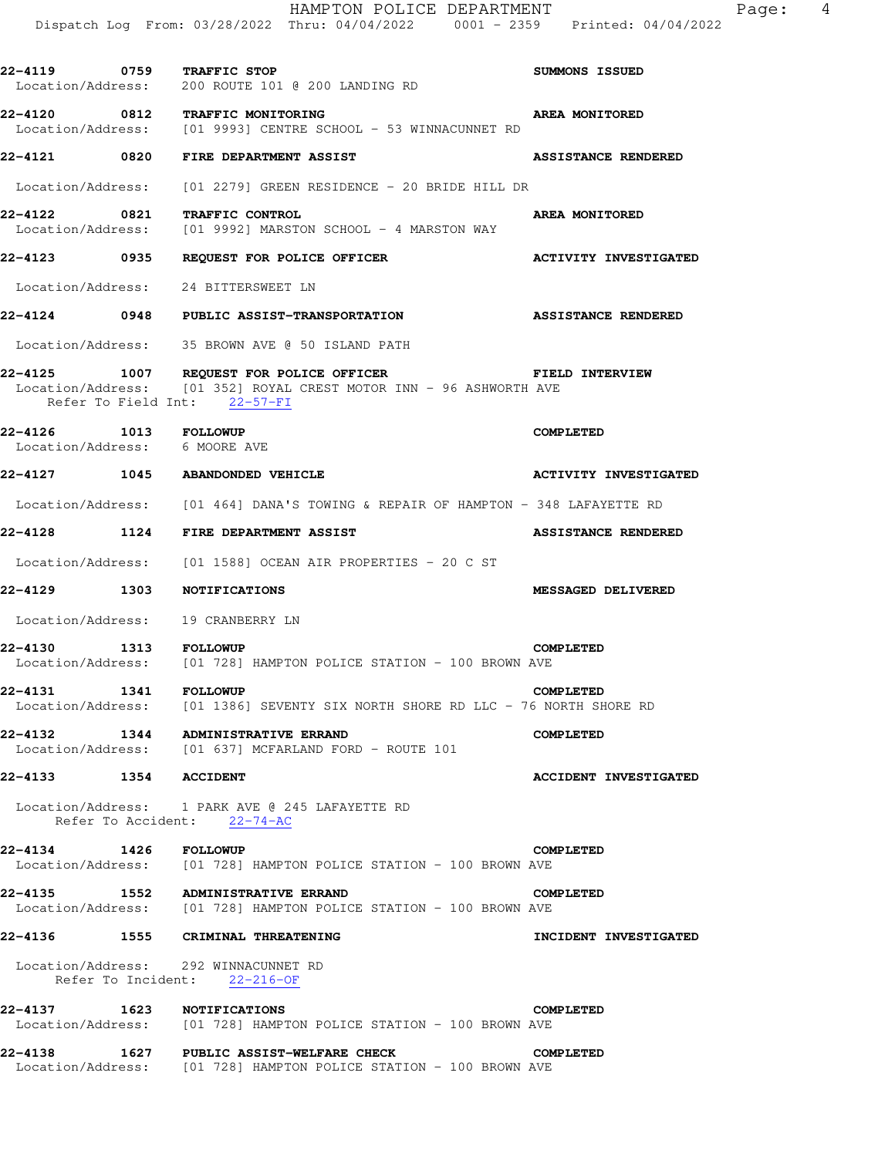|                                                        | 22-4119 0759 TRAFFIC STOP<br>Location/Address: 200 ROUTE 101 @ 200 LANDING RD                                                                 | SUMMONS ISSUED               |
|--------------------------------------------------------|-----------------------------------------------------------------------------------------------------------------------------------------------|------------------------------|
|                                                        | 22-4120 0812 TRAFFIC MONITORING<br>Location/Address: [01 9993] CENTRE SCHOOL - 53 WINNACUNNET RD                                              | <b>AREA MONITORED</b>        |
|                                                        | 22-4121 0820 FIRE DEPARTMENT ASSIST                                                                                                           | <b>ASSISTANCE RENDERED</b>   |
|                                                        | Location/Address: [01 2279] GREEN RESIDENCE - 20 BRIDE HILL DR                                                                                |                              |
| 22-4122                                                | 0821 TRAFFIC CONTROL<br>Location/Address: [01 9992] MARSTON SCHOOL - 4 MARSTON WAY                                                            | <b>AREA MONITORED</b>        |
| 22-4123 0935                                           | REQUEST FOR POLICE OFFICER ACTIVITY INVESTIGATED                                                                                              |                              |
|                                                        | Location/Address: 24 BITTERSWEET LN                                                                                                           |                              |
|                                                        | 22-4124 0948 PUBLIC ASSIST-TRANSPORTATION                                                                                                     | <b>ASSISTANCE RENDERED</b>   |
|                                                        | Location/Address: 35 BROWN AVE @ 50 ISLAND PATH                                                                                               |                              |
|                                                        | 22-4125 1007 REQUEST FOR POLICE OFFICER<br>Location/Address: [01 352] ROYAL CREST MOTOR INN - 96 ASHWORTH AVE<br>Refer To Field Int: 22-57-FI | FIELD INTERVIEW              |
| 22-4126 1013 FOLLOWUP<br>Location/Address: 6 MOORE AVE |                                                                                                                                               | <b>COMPLETED</b>             |
|                                                        | 22-4127 1045 ABANDONDED VEHICLE                                                                                                               | <b>ACTIVITY INVESTIGATED</b> |
|                                                        | Location/Address: [01 464] DANA'S TOWING & REPAIR OF HAMPTON - 348 LAFAYETTE RD                                                               |                              |
|                                                        | 22-4128 1124 FIRE DEPARTMENT ASSIST                                                                                                           | <b>ASSISTANCE RENDERED</b>   |
|                                                        | Location/Address: [01 1588] OCEAN AIR PROPERTIES - 20 C ST                                                                                    |                              |
|                                                        |                                                                                                                                               |                              |
| 22–4129 1303                                           | <b>NOTIFICATIONS</b>                                                                                                                          | <b>MESSAGED DELIVERED</b>    |
|                                                        | Location/Address: 19 CRANBERRY LN                                                                                                             |                              |
|                                                        | 22-4130 1313 FOLLOWUP<br>Location/Address: [01 728] HAMPTON POLICE STATION - 100 BROWN AVE                                                    | <b>COMPLETED</b>             |
| 22-4131 1341 FOLLOWUP                                  | Location/Address: [01 1386] SEVENTY SIX NORTH SHORE RD LLC - 76 NORTH SHORE RD                                                                | COMPLETED                    |
|                                                        | 22-4132 1344 ADMINISTRATIVE ERRAND<br>Location/Address: [01 637] MCFARLAND FORD - ROUTE 101                                                   | COMPLETED                    |
| 22-4133 1354 ACCIDENT                                  |                                                                                                                                               | <b>ACCIDENT INVESTIGATED</b> |
|                                                        | Location/Address: 1 PARK AVE @ 245 LAFAYETTE RD<br>Refer To Accident: 22-74-AC                                                                |                              |
|                                                        | 22-4134 1426 FOLLOWUP CON<br>Location/Address: [01 728] HAMPTON POLICE STATION - 100 BROWN AVE                                                | COMPLETED                    |
|                                                        | 22-4135 1552 ADMINISTRATIVE ERRAND CON<br>Location/Address: [01 728] HAMPTON POLICE STATION - 100 BROWN AVE                                   | COMPLETED                    |
|                                                        | 22-4136 1555 CRIMINAL THREATENING                                                                                                             | INCIDENT INVESTIGATED        |
|                                                        | Location/Address: 292 WINNACUNNET RD<br>Refer To Incident: 22-216-OF                                                                          |                              |
| 22-4137 1623 NOTIFICATIONS                             | Location/Address: [01 728] HAMPTON POLICE STATION - 100 BROWN AVE                                                                             | <b>COMPLETED</b>             |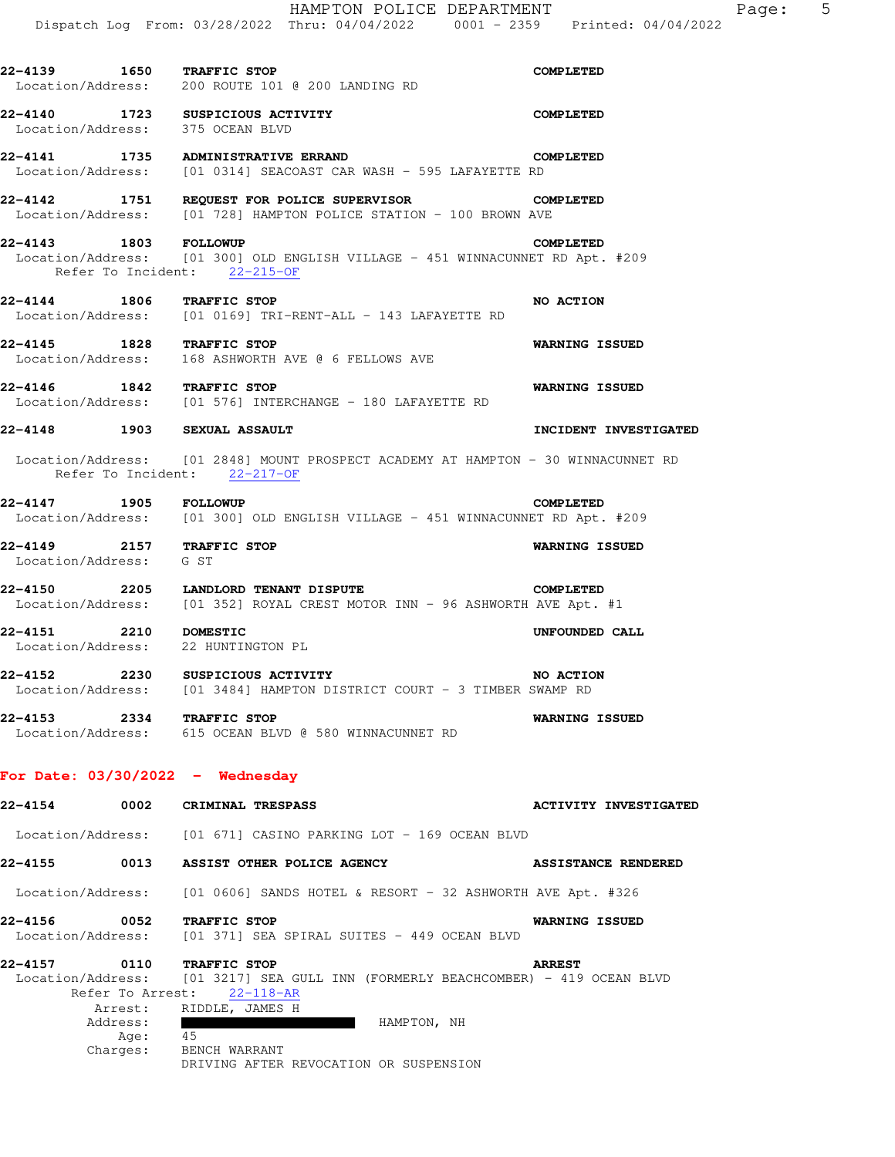|                       | HAMPTON POLICE DEPARTMENT<br>Dispatch Log From: 03/28/2022 Thru: 04/04/2022 0001 - 2359 Printed: 04/04/2022                                                            |                              | Page: 5 |  |
|-----------------------|------------------------------------------------------------------------------------------------------------------------------------------------------------------------|------------------------------|---------|--|
|                       | 22-4139 1650 TRAFFIC STOP<br>Location/Address: 200 ROUTE 101 @ 200 LANDING RD                                                                                          | <b>COMPLETED</b>             |         |  |
| Location/Address:     | 22-4140 1723 SUSPICIOUS ACTIVITY<br>375 OCEAN BLVD                                                                                                                     | <b>COMPLETED</b>             |         |  |
|                       | 22-4141 1735 ADMINISTRATIVE ERRAND<br>Location/Address: [01 0314] SEACOAST CAR WASH - 595 LAFAYETTE RD                                                                 | <b>COMPLETED</b>             |         |  |
|                       | 22-4142 1751 REQUEST FOR POLICE SUPERVISOR COMPLETED<br>Location/Address: [01 728] HAMPTON POLICE STATION - 100 BROWN AVE                                              |                              |         |  |
| 22-4143 1803 FOLLOWUP | Location/Address: [01 300] OLD ENGLISH VILLAGE - 451 WINNACUNNET RD Apt. #209<br>Refer To Incident: 22-215-OF                                                          | <b>COMPLETED</b>             |         |  |
|                       | 22-4144 1806 TRAFFIC STOP<br>Location/Address: [01 0169] TRI-RENT-ALL - 143 LAFAYETTE RD                                                                               | NO ACTION                    |         |  |
|                       | 22-4145 1828 TRAFFIC STOP<br>Location/Address: 168 ASHWORTH AVE @ 6 FELLOWS AVE                                                                                        | <b>WARNING ISSUED</b>        |         |  |
|                       | 22-4146 1842 TRAFFIC STOP<br>Location/Address: [01 576] INTERCHANGE - 180 LAFAYETTE RD                                                                                 | <b>WARNING ISSUED</b>        |         |  |
|                       | 22-4148 1903 SEXUAL ASSAULT                                                                                                                                            | INCIDENT INVESTIGATED        |         |  |
|                       | Location/Address: [01 2848] MOUNT PROSPECT ACADEMY AT HAMPTON - 30 WINNACUNNET RD<br>Refer To Incident: 22-217-OF                                                      |                              |         |  |
| 22-4147 1905 FOLLOWUP | Location/Address: [01 300] OLD ENGLISH VILLAGE - 451 WINNACUNNET RD Apt. #209                                                                                          | <b>COMPLETED</b>             |         |  |
| Location/Address:     | 22-4149 2157 TRAFFIC STOP<br>G ST                                                                                                                                      | <b>WARNING ISSUED</b>        |         |  |
|                       | 22-4150 2205 LANDLORD TENANT DISPUTE<br>Location/Address: [01 352] ROYAL CREST MOTOR INN - 96 ASHWORTH AVE Apt. #1                                                     | <b>COMPLETED</b>             |         |  |
| 22-4151 2210 DOMESTIC | Location/Address: 22 HUNTINGTON PL                                                                                                                                     | UNFOUNDED CALL               |         |  |
|                       | 22-4152 2230 SUSPICIOUS ACTIVITY<br>Location/Address: [01 3484] HAMPTON DISTRICT COURT - 3 TIMBER SWAMP RD                                                             | NO ACTION                    |         |  |
|                       | 22-4153 2334 TRAFFIC STOP<br>Location/Address: 615 OCEAN BLVD @ 580 WINNACUNNET RD                                                                                     | WARNING ISSUED               |         |  |
|                       | For Date: $03/30/2022 -$ Wednesday                                                                                                                                     |                              |         |  |
|                       | 22-4154 0002 CRIMINAL TRESPASS                                                                                                                                         | <b>ACTIVITY INVESTIGATED</b> |         |  |
|                       | Location/Address: [01 671] CASINO PARKING LOT - 169 OCEAN BLVD                                                                                                         |                              |         |  |
|                       | 22-4155 0013 ASSIST OTHER POLICE AGENCY                                                                                                                                | <b>ASSISTANCE RENDERED</b>   |         |  |
|                       | Location/Address: [01 0606] SANDS HOTEL & RESORT - 32 ASHWORTH AVE Apt. #326                                                                                           |                              |         |  |
|                       | 22-4156 0052 TRAFFIC STOP<br>Location/Address: [01 371] SEA SPIRAL SUITES - 449 OCEAN BLVD                                                                             | WARNING ISSUED               |         |  |
|                       | 22-4157 0110 TRAFFIC STOP<br>Location/Address: [01 3217] SEA GULL INN (FORMERLY BEACHCOMBER) - 419 OCEAN BLVD<br>Refer To Arrest: 22-118-AR<br>Arrest: RIDDLE, JAMES H | <b>ARREST</b>                |         |  |

Address: HAMPTON, NH Age: 45

Charges: BENCH WARRANT

DRIVING AFTER REVOCATION OR SUSPENSION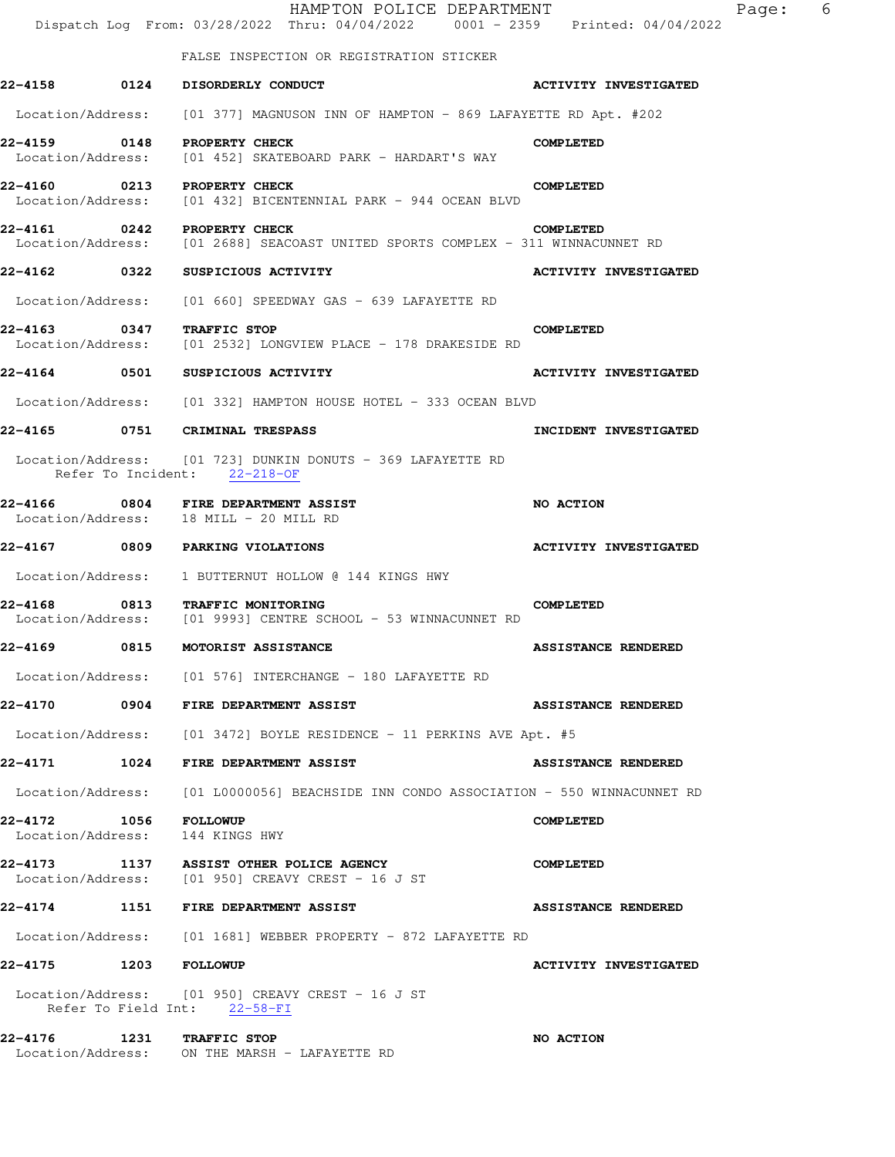|                              | HAMPTON POLICE DEPARTMENT<br>Dispatch Log From: 03/28/2022 Thru: 04/04/2022 0001 - 2359 Printed: 04/04/2022    | - 6<br>Page:                 |  |
|------------------------------|----------------------------------------------------------------------------------------------------------------|------------------------------|--|
|                              | FALSE INSPECTION OR REGISTRATION STICKER                                                                       |                              |  |
|                              | 22-4158 0124 DISORDERLY CONDUCT                                                                                | <b>ACTIVITY INVESTIGATED</b> |  |
|                              | Location/Address: [01 377] MAGNUSON INN OF HAMPTON - 869 LAFAYETTE RD Apt. #202                                |                              |  |
|                              | 22-4159 0148 PROPERTY CHECK<br>Location/Address: [01 452] SKATEBOARD PARK - HARDART'S WAY                      | <b>COMPLETED</b>             |  |
|                              | 22-4160 0213 PROPERTY CHECK<br>Location/Address: [01 432] BICENTENNIAL PARK - 944 OCEAN BLVD                   | <b>COMPLETED</b>             |  |
|                              | 22-4161 0242 PROPERTY CHECK<br>Location/Address: [01 2688] SEACOAST UNITED SPORTS COMPLEX - 311 WINNACUNNET RD | <b>COMPLETED</b>             |  |
| 22-4162 0322                 | SUSPICIOUS ACTIVITY                                                                                            | <b>ACTIVITY INVESTIGATED</b> |  |
| Location/Address:            | [01 660] SPEEDWAY GAS - 639 LAFAYETTE RD                                                                       |                              |  |
| 22-4163                      | 0347 TRAFFIC STOP<br>Location/Address: [01 2532] LONGVIEW PLACE - 178 DRAKESIDE RD                             | <b>COMPLETED</b>             |  |
|                              | 22-4164 0501 SUSPICIOUS ACTIVITY                                                                               | <b>ACTIVITY INVESTIGATED</b> |  |
|                              | Location/Address: [01 332] HAMPTON HOUSE HOTEL - 333 OCEAN BLVD                                                |                              |  |
|                              | 22-4165 0751 CRIMINAL TRESPASS                                                                                 | INCIDENT INVESTIGATED        |  |
|                              | Location/Address: [01 723] DUNKIN DONUTS - 369 LAFAYETTE RD<br>Refer To Incident: 22-218-OF                    |                              |  |
| 22-4166                      | 0804 FIRE DEPARTMENT ASSIST<br>Location/Address: 18 MILL - 20 MILL RD                                          | NO ACTION                    |  |
|                              | 22-4167 0809 PARKING VIOLATIONS                                                                                | <b>ACTIVITY INVESTIGATED</b> |  |
|                              | Location/Address: 1 BUTTERNUT HOLLOW @ 144 KINGS HWY                                                           |                              |  |
|                              | 22-4168 0813 TRAFFIC MONITORING<br>Location/Address: [01 9993] CENTRE SCHOOL - 53 WINNACUNNET RD               | <b>COMPLETED</b>             |  |
| 22-4169                      | 0815 MOTORIST ASSISTANCE                                                                                       | <b>ASSISTANCE RENDERED</b>   |  |
|                              | Location/Address: [01 576] INTERCHANGE - 180 LAFAYETTE RD                                                      |                              |  |
|                              | 22-4170 0904 FIRE DEPARTMENT ASSIST                                                                            | <b>ASSISTANCE RENDERED</b>   |  |
|                              | Location/Address: [01 3472] BOYLE RESIDENCE - 11 PERKINS AVE Apt. #5                                           |                              |  |
| 22-4171                      | 1024 FIRE DEPARTMENT ASSIST                                                                                    | <b>ASSISTANCE RENDERED</b>   |  |
|                              | Location/Address: [01 L0000056] BEACHSIDE INN CONDO ASSOCIATION - 550 WINNACUNNET RD                           |                              |  |
| 22-4172 1056 FOLLOWUP        | Location/Address: 144 KINGS HWY                                                                                | <b>COMPLETED</b>             |  |
| 22-4173                      | 1137 ASSIST OTHER POLICE AGENCY<br>Location/Address: [01 950] CREAVY CREST - 16 J ST                           | <b>COMPLETED</b>             |  |
|                              | 22-4174 1151 FIRE DEPARTMENT ASSIST                                                                            | <b>ASSISTANCE RENDERED</b>   |  |
|                              | Location/Address: [01 1681] WEBBER PROPERTY - 872 LAFAYETTE RD                                                 |                              |  |
| <b>22-4175 1203 FOLLOWUP</b> |                                                                                                                | <b>ACTIVITY INVESTIGATED</b> |  |
|                              | Location/Address: [01 950] CREAVY CREST - 16 J ST<br>Refer To Field Int: 22-58-FI                              |                              |  |
| 22-4176                      | 1231 TRAFFIC STOP<br>Location/Address: ON THE MARSH - LAFAYETTE RD                                             | NO ACTION                    |  |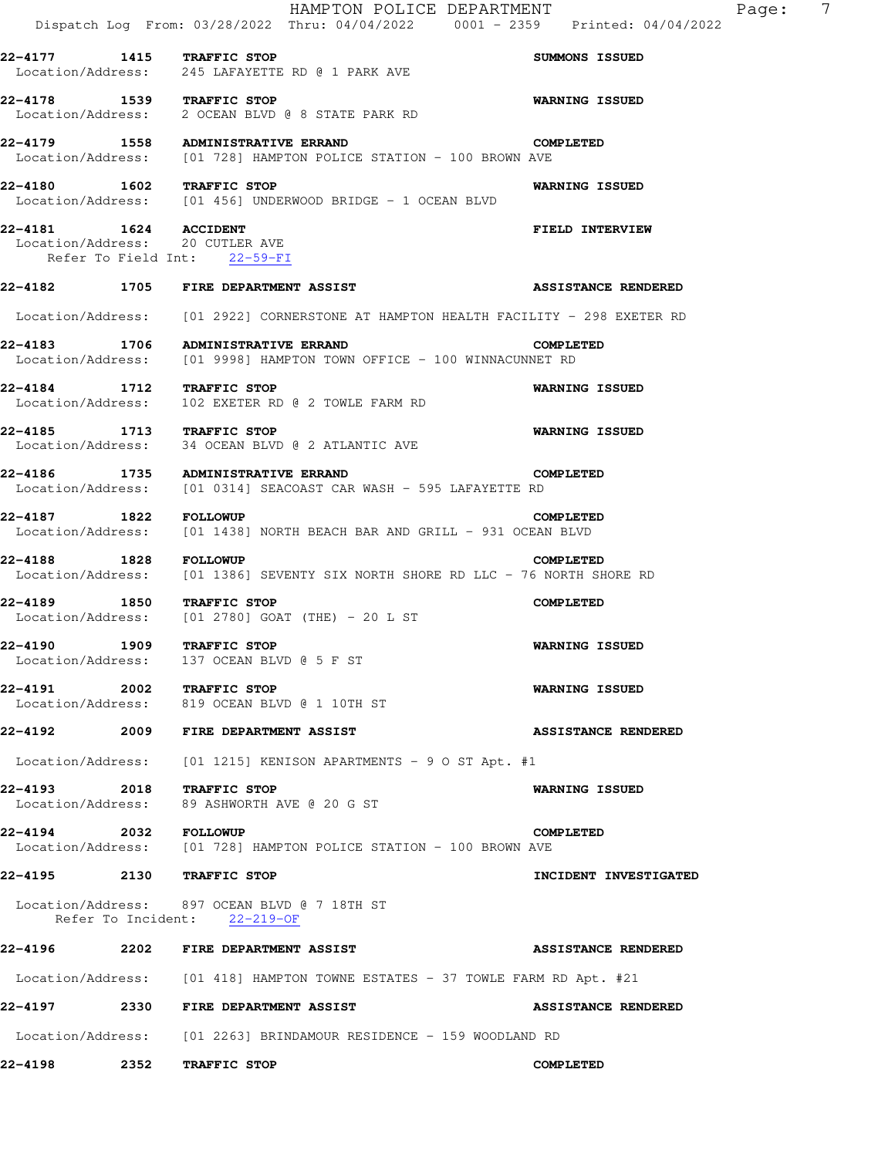|                                                                 | HAMPTON POLICE DEPARTMENT<br>Dispatch Log From: 03/28/2022 Thru: 04/04/2022 0001 - 2359 Printed: 04/04/2022 | 7<br>Page:                 |
|-----------------------------------------------------------------|-------------------------------------------------------------------------------------------------------------|----------------------------|
| 22-4177 1415 TRAFFIC STOP                                       | Location/Address: 245 LAFAYETTE RD @ 1 PARK AVE                                                             | SUMMONS ISSUED             |
| 22-4178 1539 TRAFFIC STOP                                       | Location/Address: 2 OCEAN BLVD @ 8 STATE PARK RD                                                            | <b>WARNING ISSUED</b>      |
|                                                                 | 22-4179 1558 ADMINISTRATIVE ERRAND<br>Location/Address: [01 728] HAMPTON POLICE STATION - 100 BROWN AVE     | <b>COMPLETED</b>           |
| 22-4180 1602 TRAFFIC STOP                                       | $Location/Address:$ [01 456] UNDERWOOD BRIDGE - 1 OCEAN BLVD                                                | <b>WARNING ISSUED</b>      |
| <b>22-4181 1624 ACCIDENT</b><br>Location/Address: 20 CUTLER AVE | Refer To Field Int: 22-59-FI                                                                                | <b>FIELD INTERVIEW</b>     |
|                                                                 | 22-4182 1705 FIRE DEPARTMENT ASSIST                                                                         | <b>ASSISTANCE RENDERED</b> |
|                                                                 | Location/Address: [01 2922] CORNERSTONE AT HAMPTON HEALTH FACILITY - 298 EXETER RD                          |                            |
|                                                                 | 22-4183 1706 ADMINISTRATIVE ERRAND<br>Location/Address: [01 9998] HAMPTON TOWN OFFICE - 100 WINNACUNNET RD  | <b>COMPLETED</b>           |
| 22-4184 1712 TRAFFIC STOP                                       | Location/Address: 102 EXETER RD @ 2 TOWLE FARM RD                                                           | <b>WARNING ISSUED</b>      |
| 22-4185 1713 TRAFFIC STOP                                       | Location/Address: 34 OCEAN BLVD @ 2 ATLANTIC AVE                                                            | <b>WARNING ISSUED</b>      |
|                                                                 | 22-4186 1735 ADMINISTRATIVE ERRAND<br>Location/Address: [01 0314] SEACOAST CAR WASH - 595 LAFAYETTE RD      | <b>COMPLETED</b>           |
| 22-4187 1822<br>Location/Address:                               | <b>FOLLOWUP</b><br>$[01 1438]$ NORTH BEACH BAR AND GRILL - 931 OCEAN BLVD                                   | <b>COMPLETED</b>           |
| 22-4188 1828 FOLLOWUP                                           | Location/Address: [01 1386] SEVENTY SIX NORTH SHORE RD LLC - 76 NORTH SHORE RD                              | <b>COMPLETED</b>           |
| 22-4189 1850 TRAFFIC STOP                                       | $Location/Address:$ [01 2780] GOAT (THE) - 20 L ST                                                          | <b>COMPLETED</b>           |
| 22-4190 1909 TRAFFIC STOP<br>Location/Address:                  | 137 OCEAN BLVD @ 5 F ST                                                                                     | <b>WARNING ISSUED</b>      |
| 22-4191 2002 TRAFFIC STOP                                       | Location/Address: 819 OCEAN BLVD @ 1 10TH ST                                                                | <b>WARNING ISSUED</b>      |
|                                                                 | 22-4192 2009 FIRE DEPARTMENT ASSIST                                                                         | <b>ASSISTANCE RENDERED</b> |
|                                                                 | Location/Address: $[01 \t1215]$ KENISON APARTMENTS - 9 0 ST Apt. #1                                         |                            |
| 22-4193 2018 TRAFFIC STOP                                       | Location/Address: 89 ASHWORTH AVE @ 20 G ST                                                                 | <b>WARNING ISSUED</b>      |
| <b>22-4194</b> 2032 FOLLOWUP                                    | Location/Address: [01 728] HAMPTON POLICE STATION - 100 BROWN AVE                                           | <b>COMPLETED</b>           |
| 22-4195 2130 TRAFFIC STOP                                       |                                                                                                             | INCIDENT INVESTIGATED      |
|                                                                 | Location/Address: 897 OCEAN BLVD @ 7 18TH ST<br>Refer To Incident: 22-219-OF                                |                            |
|                                                                 | 22-4196 2202 FIRE DEPARTMENT ASSIST                                                                         | <b>ASSISTANCE RENDERED</b> |
|                                                                 | Location/Address: [01 418] HAMPTON TOWNE ESTATES - 37 TOWLE FARM RD Apt. #21                                |                            |
|                                                                 | 22-4197 2330 FIRE DEPARTMENT ASSIST                                                                         | <b>ASSISTANCE RENDERED</b> |
|                                                                 | Location/Address: [01 2263] BRINDAMOUR RESIDENCE - 159 WOODLAND RD                                          |                            |
| 22-4198 2352                                                    | TRAFFIC STOP                                                                                                | <b>COMPLETED</b>           |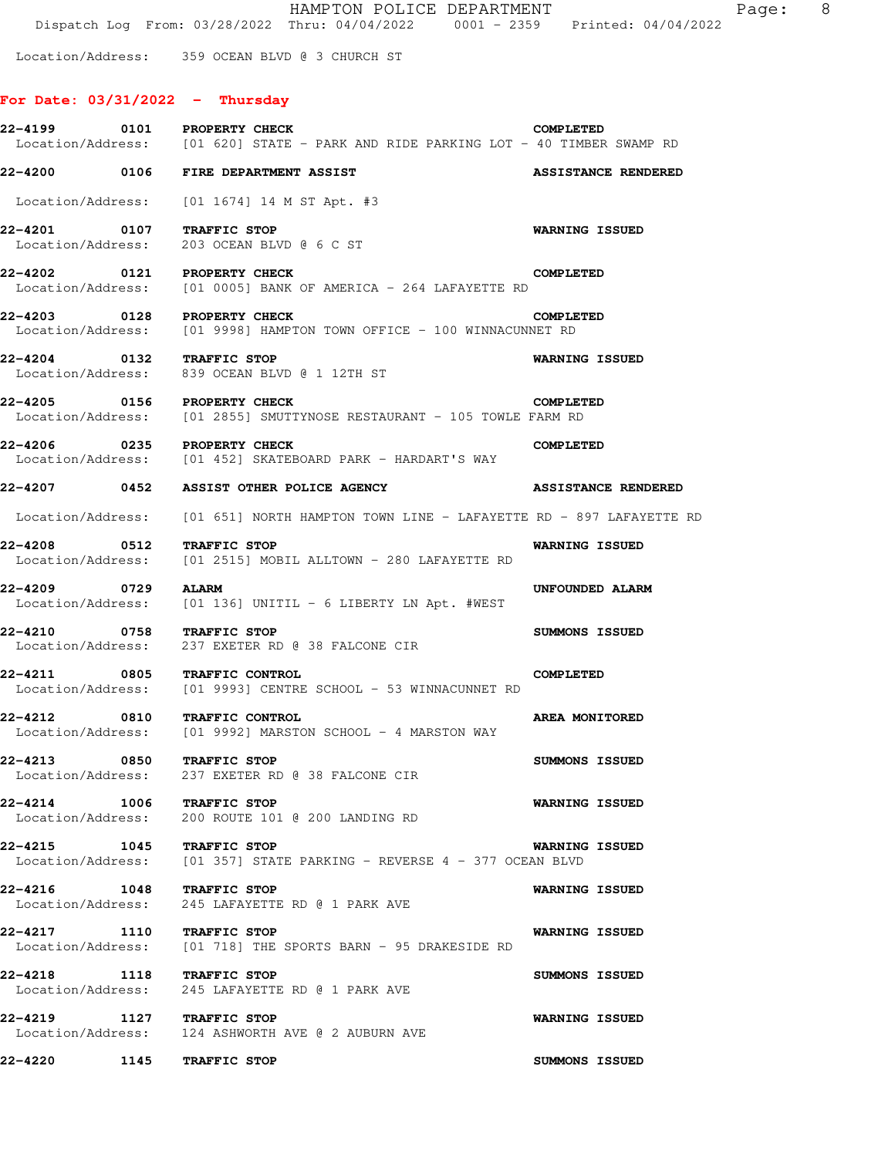Location/Address: 359 OCEAN BLVD @ 3 CHURCH ST

## **For Date: 03/31/2022 - Thursday**

| 22-4199 0101 PROPERTY CHECK  | Location/Address: [01 620] STATE - PARK AND RIDE PARKING LOT - 40 TIMBER SWAMP RD         | <b>COMPLETED</b>           |
|------------------------------|-------------------------------------------------------------------------------------------|----------------------------|
|                              | 22-4200 0106 FIRE DEPARTMENT ASSIST                                                       | <b>ASSISTANCE RENDERED</b> |
|                              | Location/Address: [01 1674] 14 M ST Apt. #3                                               |                            |
| 22-4201 0107                 | TRAFFIC STOP<br>Location/Address: 203 OCEAN BLVD @ 6 C ST                                 | <b>WARNING ISSUED</b>      |
| 22-4202 0121 PROPERTY CHECK  | Location/Address: [01 0005] BANK OF AMERICA - 264 LAFAYETTE RD                            | COMPLETED                  |
| 22-4203 0128 PROPERTY CHECK  | Location/Address: [01 9998] HAMPTON TOWN OFFICE - 100 WINNACUNNET RD                      | <b>COMPLETED</b>           |
| 22-4204 0132 TRAFFIC STOP    | Location/Address: 839 OCEAN BLVD @ 1 12TH ST                                              | <b>WARNING ISSUED</b>      |
| 22-4205 0156 PROPERTY CHECK  | Location/Address: [01 2855] SMUTTYNOSE RESTAURANT - 105 TOWLE FARM RD                     | <b>COMPLETED</b>           |
| 22-4206 0235 PROPERTY CHECK  | Location/Address: [01 452] SKATEBOARD PARK - HARDART'S WAY                                | <b>COMPLETED</b>           |
|                              | 22-4207 0452 ASSIST OTHER POLICE AGENCY                                                   | <b>ASSISTANCE RENDERED</b> |
|                              | Location/Address: [01 651] NORTH HAMPTON TOWN LINE - LAFAYETTE RD - 897 LAFAYETTE RD      |                            |
|                              | 22-4208 0512 TRAFFIC STOP<br>Location/Address: [01 2515] MOBIL ALLTOWN - 280 LAFAYETTE RD | <b>WARNING ISSUED</b>      |
| 22-4209 0729                 | <b>ALARM</b><br>Location/Address: [01 136] UNITIL - 6 LIBERTY LN Apt. #WEST               | <b>UNFOUNDED ALARM</b>     |
| 22-4210 0758 TRAFFIC STOP    | Location/Address: 237 EXETER RD @ 38 FALCONE CIR                                          | <b>SUMMONS ISSUED</b>      |
| 22-4211 0805 TRAFFIC CONTROL | Location/Address: [01 9993] CENTRE SCHOOL - 53 WINNACUNNET RD                             | <b>COMPLETED</b>           |
| 22-4212 0810 TRAFFIC CONTROL | Location/Address: [01 9992] MARSTON SCHOOL - 4 MARSTON WAY                                | AREA MONITORED             |
| 22-4213 0850 TRAFFIC STOP    | Location/Address: 237 EXETER RD @ 38 FALCONE CIR                                          | SUMMONS ISSUED             |
| 22-4214 1006 TRAFFIC STOP    | Location/Address: 200 ROUTE 101 @ 200 LANDING RD                                          | <b>WARNING ISSUED</b>      |
| 22-4215 1045 TRAFFIC STOP    | Location/Address: [01 357] STATE PARKING - REVERSE 4 - 377 OCEAN BLVD                     | <b>WARNING ISSUED</b>      |
|                              | 22-4216 1048 TRAFFIC STOP<br>Location/Address: 245 LAFAYETTE RD @ 1 PARK AVE              | <b>WARNING ISSUED</b>      |
|                              | 22-4217 1110 TRAFFIC STOP<br>Location/Address: [01 718] THE SPORTS BARN - 95 DRAKESIDE RD | <b>WARNING ISSUED</b>      |
| 22-4218 1118 TRAFFIC STOP    | Location/Address: 245 LAFAYETTE RD @ 1 PARK AVE                                           | SUMMONS ISSUED             |
| 22-4219 1127 TRAFFIC STOP    | Location/Address: 124 ASHWORTH AVE @ 2 AUBURN AVE                                         | WARNING ISSUED             |
| 22-4220 1145 TRAFFIC STOP    |                                                                                           | SUMMONS ISSUED             |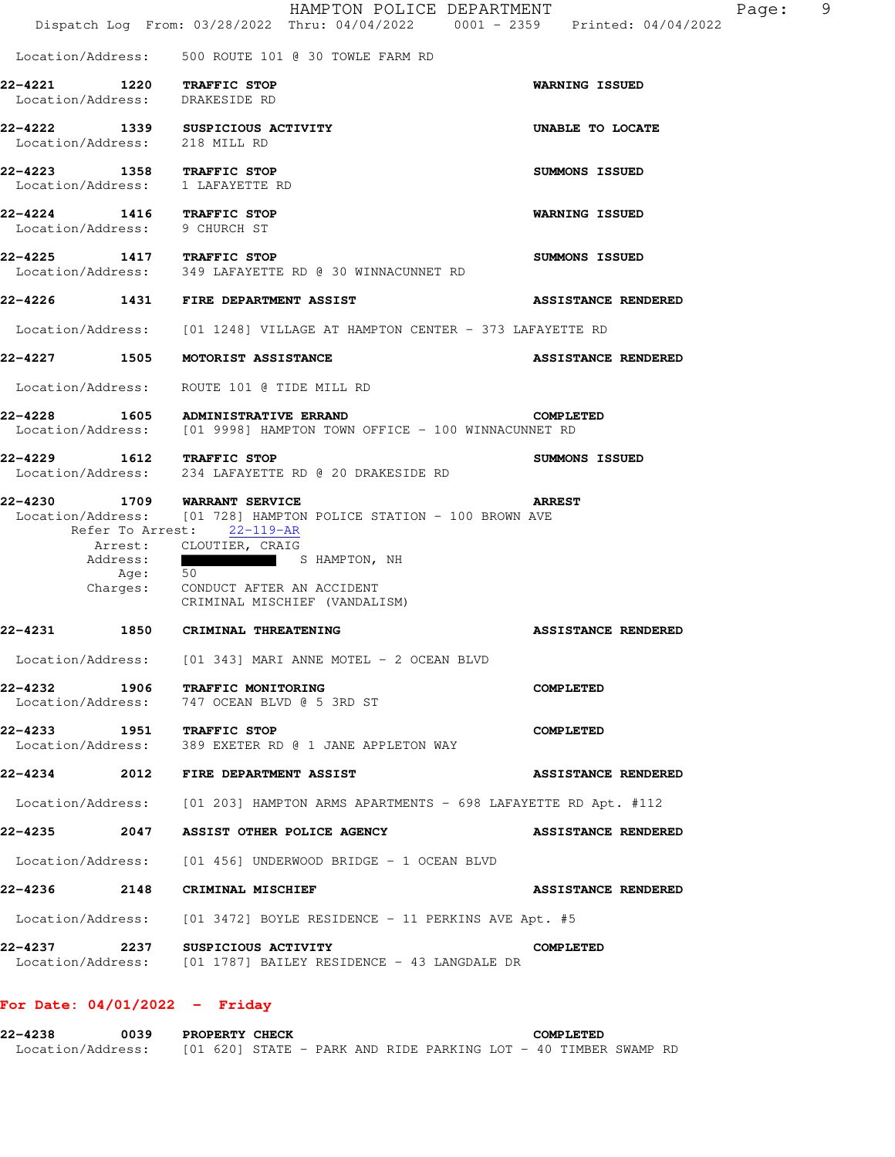|                                                             |         | HAMPTON POLICE DEPARTMENT<br>Dispatch Log From: 03/28/2022 Thru: 04/04/2022 0001 - 2359 Printed: 04/04/2022                                                                                                                                                 |                            |
|-------------------------------------------------------------|---------|-------------------------------------------------------------------------------------------------------------------------------------------------------------------------------------------------------------------------------------------------------------|----------------------------|
|                                                             |         | Location/Address: 500 ROUTE 101 @ 30 TOWLE FARM RD                                                                                                                                                                                                          |                            |
| 22-4221 1220 TRAFFIC STOP<br>Location/Address: DRAKESIDE RD |         |                                                                                                                                                                                                                                                             | <b>WARNING ISSUED</b>      |
|                                                             |         |                                                                                                                                                                                                                                                             |                            |
|                                                             |         | 22-4222 1339 SUSPICIOUS ACTIVITY<br>Location/Address: 218 MILL RD                                                                                                                                                                                           | UNABLE TO LOCATE           |
|                                                             |         | 22-4223 1358 TRAFFIC STOP<br>Location/Address: 1 LAFAYETTE RD                                                                                                                                                                                               | SUMMONS ISSUED             |
| 22-4224 1416 TRAFFIC STOP<br>Location/Address: 9 CHURCH ST  |         |                                                                                                                                                                                                                                                             | <b>WARNING ISSUED</b>      |
| 22-4225 1417 TRAFFIC STOP                                   |         | Location/Address: 349 LAFAYETTE RD @ 30 WINNACUNNET RD                                                                                                                                                                                                      | SUMMONS ISSUED             |
|                                                             |         | 22-4226 1431 FIRE DEPARTMENT ASSIST                                                                                                                                                                                                                         | <b>ASSISTANCE RENDERED</b> |
|                                                             |         | Location/Address: [01 1248] VILLAGE AT HAMPTON CENTER - 373 LAFAYETTE RD                                                                                                                                                                                    |                            |
|                                                             |         | 22-4227 1505 MOTORIST ASSISTANCE                                                                                                                                                                                                                            | <b>ASSISTANCE RENDERED</b> |
|                                                             |         | Location/Address: ROUTE 101 @ TIDE MILL RD                                                                                                                                                                                                                  |                            |
|                                                             |         | 22-4228 1605 ADMINISTRATIVE ERRAND<br>Location/Address: [01 9998] HAMPTON TOWN OFFICE - 100 WINNACUNNET RD                                                                                                                                                  | <b>COMPLETED</b>           |
| 22-4229 1612 TRAFFIC STOP                                   |         | Location/Address: 234 LAFAYETTE RD @ 20 DRAKESIDE RD                                                                                                                                                                                                        | <b>SUMMONS ISSUED</b>      |
|                                                             | Age: 50 | 22-4230 1709 WARRANT SERVICE<br>Location/Address: [01 728] HAMPTON POLICE STATION - 100 BROWN AVE<br>Refer To Arrest: 22-119-AR<br>Arrest: CLOUTIER, CRAIG<br>Address: S HAMPTON, NH<br>Charges: CONDUCT AFTER AN ACCIDENT<br>CRIMINAL MISCHIEF (VANDALISM) | <b>ARREST</b>              |
|                                                             |         | 22-4231 1850 CRIMINAL THREATENING                                                                                                                                                                                                                           | <b>ASSISTANCE RENDERED</b> |
|                                                             |         | $Location/Address:$ [01 343] MARI ANNE MOTEL - 2 OCEAN BLVD                                                                                                                                                                                                 |                            |
|                                                             |         | 22-4232 1906 TRAFFIC MONITORING<br>Location/Address: 747 OCEAN BLVD @ 5 3RD ST                                                                                                                                                                              | <b>COMPLETED</b>           |
| 22-4233 1951 TRAFFIC STOP                                   |         | Location/Address: 389 EXETER RD @ 1 JANE APPLETON WAY                                                                                                                                                                                                       | <b>COMPLETED</b>           |
|                                                             |         |                                                                                                                                                                                                                                                             |                            |
|                                                             |         | 22-4234 2012 FIRE DEPARTMENT ASSIST                                                                                                                                                                                                                         | <b>ASSISTANCE RENDERED</b> |
|                                                             |         | Location/Address: [01 203] HAMPTON ARMS APARTMENTS - 698 LAFAYETTE RD Apt. #112                                                                                                                                                                             |                            |
|                                                             |         | 22-4235 2047 ASSIST OTHER POLICE AGENCY                                                                                                                                                                                                                     | <b>ASSISTANCE RENDERED</b> |
|                                                             |         | Location/Address: [01 456] UNDERWOOD BRIDGE - 1 OCEAN BLVD                                                                                                                                                                                                  |                            |
|                                                             |         | 22-4236 2148 CRIMINAL MISCHIEF                                                                                                                                                                                                                              | <b>ASSISTANCE RENDERED</b> |
|                                                             |         | Location/Address: [01 3472] BOYLE RESIDENCE - 11 PERKINS AVE Apt. #5                                                                                                                                                                                        |                            |

**22-4238 0039 PROPERTY CHECK COMPLETED**  Location/Address: [01 620] STATE - PARK AND RIDE PARKING LOT - 40 TIMBER SWAMP RD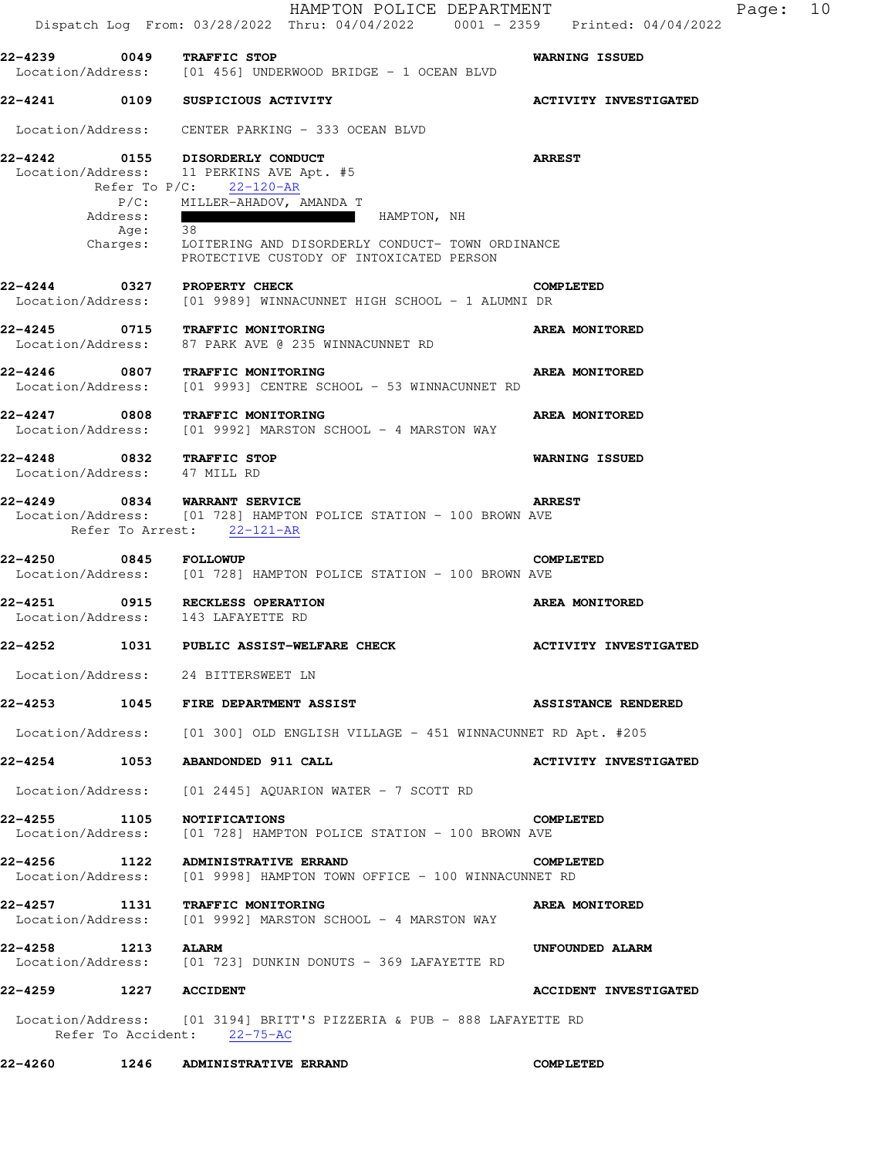| 22-4239 0049 TRAFFIC STOP                                 |                  |                                                                                                                                       |                              |
|-----------------------------------------------------------|------------------|---------------------------------------------------------------------------------------------------------------------------------------|------------------------------|
|                                                           |                  | Location/Address: [01 456] UNDERWOOD BRIDGE - 1 OCEAN BLVD                                                                            | <b>WARNING ISSUED</b>        |
| 22-4241                                                   |                  | 0109 SUSPICIOUS ACTIVITY                                                                                                              | <b>ACTIVITY INVESTIGATED</b> |
|                                                           |                  | Location/Address: CENTER PARKING - 333 OCEAN BLVD                                                                                     |                              |
| 22-4242<br>Address:                                       | Refer To $P/C$ : | 0155 DISORDERLY CONDUCT<br>Location/Address: 11 PERKINS AVE Apt. #5<br>$22 - 120 - AR$<br>P/C: MILLER-AHADOV, AMANDA T<br>HAMPTON, NH | <b>ARREST</b>                |
|                                                           | Age: 38          | Charges: LOITERING AND DISORDERLY CONDUCT- TOWN ORDINANCE<br>PROTECTIVE CUSTODY OF INTOXICATED PERSON                                 |                              |
| 22-4244 0327 PROPERTY CHECK                               |                  | Location/Address: [01 9989] WINNACUNNET HIGH SCHOOL - 1 ALUMNI DR                                                                     | <b>COMPLETED</b>             |
|                                                           |                  | 22-4245 0715 TRAFFIC MONITORING<br>Location/Address: 87 PARK AVE @ 235 WINNACUNNET RD                                                 | AREA MONITORED               |
|                                                           |                  | 22-4246 0807 TRAFFIC MONITORING<br>Location/Address: [01 9993] CENTRE SCHOOL - 53 WINNACUNNET RD                                      | AREA MONITORED               |
| 22-4247                                                   |                  | 0808 TRAFFIC MONITORING<br>Location/Address: [01 9992] MARSTON SCHOOL - 4 MARSTON WAY                                                 | AREA MONITORED               |
| 22-4248 0832 TRAFFIC STOP<br>Location/Address: 47 MILL RD |                  |                                                                                                                                       | <b>WARNING ISSUED</b>        |
| 22-4249                                                   |                  | 0834 WARRANT SERVICE<br>Location/Address: [01 728] HAMPTON POLICE STATION - 100 BROWN AVE<br>Refer To Arrest: 22-121-AR               | <b>ARREST</b>                |
| 22-4250 0845 FOLLOWUP                                     |                  | Location/Address: [01 728] HAMPTON POLICE STATION - 100 BROWN AVE                                                                     | <b>COMPLETED</b>             |
| Location/Address: 143 LAFAYETTE RD                        |                  | 22-4251 0915 RECKLESS OPERATION                                                                                                       | AREA MONITORED               |
|                                                           |                  | 22-4252 1031 PUBLIC ASSIST-WELFARE CHECK                                                                                              | <b>ACTIVITY INVESTIGATED</b> |
|                                                           |                  | Location/Address: 24 BITTERSWEET LN                                                                                                   |                              |
|                                                           |                  | 22-4253 1045 FIRE DEPARTMENT ASSIST                                                                                                   | <b>ASSISTANCE RENDERED</b>   |
|                                                           |                  | Location/Address: [01 300] OLD ENGLISH VILLAGE - 451 WINNACUNNET RD Apt. #205                                                         |                              |
|                                                           |                  | <b>22-4254 1053 ABANDONDED 911 CALL</b>                                                                                               | <b>ACTIVITY INVESTIGATED</b> |
|                                                           |                  | Location/Address: [01 2445] AQUARION WATER - 7 SCOTT RD                                                                               |                              |
| 22-4255 1105 NOTIFICATIONS                                |                  | Location/Address: [01 728] HAMPTON POLICE STATION - 100 BROWN AVE                                                                     | <b>COMPLETED</b>             |
| 22-4256                                                   |                  | 1122 ADMINISTRATIVE ERRAND<br>Location/Address: [01 9998] HAMPTON TOWN OFFICE - 100 WINNACUNNET RD                                    | <b>COMPLETED</b>             |
|                                                           |                  | 22-4257 1131 TRAFFIC MONITORING<br>Location/Address: [01 9992] MARSTON SCHOOL - 4 MARSTON WAY                                         | AREA MONITORED               |
| 22-4258<br>1213 ALARM                                     |                  | Location/Address: [01 723] DUNKIN DONUTS - 369 LAFAYETTE RD                                                                           | UNFOUNDED ALARM              |
| <b>22-4259 1227 ACCIDENT</b>                              |                  |                                                                                                                                       | <b>ACCIDENT INVESTIGATED</b> |
|                                                           |                  | Location/Address: [01 3194] BRITT'S PIZZERIA & PUB - 888 LAFAYETTE RD<br>Refer To Accident: 22-75-AC                                  |                              |

**22-4260 1246 ADMINISTRATIVE ERRAND COMPLETED**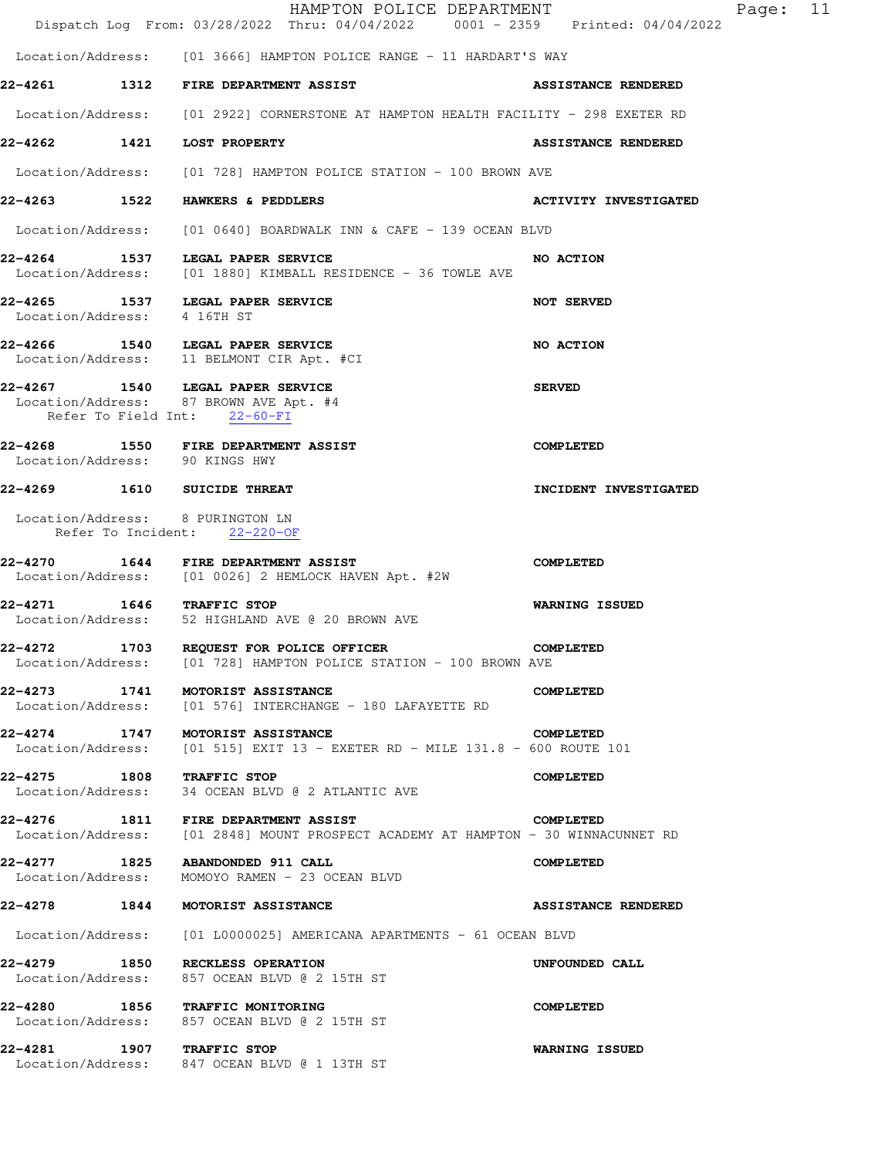|         | HAMPTON POLICE DEPARTMENT<br>Dispatch Log From: 03/28/2022 Thru: 04/04/2022 0001 - 2359 Printed: 04/04/2022              | Page: 11                     |  |
|---------|--------------------------------------------------------------------------------------------------------------------------|------------------------------|--|
|         | Location/Address: [01 3666] HAMPTON POLICE RANGE - 11 HARDART'S WAY                                                      |                              |  |
| 22-4261 | 1312 FIRE DEPARTMENT ASSIST                                                                                              | <b>ASSISTANCE RENDERED</b>   |  |
|         | Location/Address: [01 2922] CORNERSTONE AT HAMPTON HEALTH FACILITY - 298 EXETER RD                                       |                              |  |
| 22-4262 | 1421 LOST PROPERTY                                                                                                       | <b>ASSISTANCE RENDERED</b>   |  |
|         | Location/Address: [01 728] HAMPTON POLICE STATION - 100 BROWN AVE                                                        |                              |  |
|         | 22-4263 1522 HAWKERS & PEDDLERS                                                                                          | <b>ACTIVITY INVESTIGATED</b> |  |
|         | Location/Address: [01 0640] BOARDWALK INN & CAFE - 139 OCEAN BLVD                                                        |                              |  |
| 22-4264 | 1537 LEGAL PAPER SERVICE<br>Location/Address: [01 1880] KIMBALL RESIDENCE - 36 TOWLE AVE                                 | NO ACTION                    |  |
|         | 22-4265 1537 LEGAL PAPER SERVICE<br>Location/Address: 4 16TH ST                                                          | <b>NOT SERVED</b>            |  |
| 22-4266 | 1540 LEGAL PAPER SERVICE<br>Location/Address: 11 BELMONT CIR Apt. #CI                                                    | NO ACTION                    |  |
|         | 22-4267 1540 LEGAL PAPER SERVICE<br>Location/Address: 87 BROWN AVE Apt. #4<br>Refer To Field Int: 22-60-FI               | <b>SERVED</b>                |  |
|         | 22-4268 1550 FIRE DEPARTMENT ASSIST<br>Location/Address: 90 KINGS HWY                                                    | <b>COMPLETED</b>             |  |
|         | 22-4269 1610 SUICIDE THREAT                                                                                              | INCIDENT INVESTIGATED        |  |
|         | Location/Address: 8 PURINGTON LN<br>Refer To Incident: 22-220-OF                                                         |                              |  |
|         | 22-4270 1644 FIRE DEPARTMENT ASSIST<br>Location/Address: [01 0026] 2 HEMLOCK HAVEN Apt. #2W                              | <b>COMPLETED</b>             |  |
| 22-4271 | 1646 TRAFFIC STOP<br>Location/Address: 52 HIGHLAND AVE @ 20 BROWN AVE                                                    | <b>WARNING ISSUED</b>        |  |
| 22-4272 | 1703 REQUEST FOR POLICE OFFICER<br>Location/Address: [01 728] HAMPTON POLICE STATION - 100 BROWN AVE                     | <b>COMPLETED</b>             |  |
|         | 22-4273 1741 MOTORIST ASSISTANCE<br>Location/Address: [01 576] INTERCHANGE - 180 LAFAYETTE RD                            | <b>COMPLETED</b>             |  |
|         | 22-4274 1747 MOTORIST ASSISTANCE<br>Location/Address: $[01\;515]\;$ EXIT 13 - EXETER RD - MILE 131.8 - 600 ROUTE 101     | COMPLETED                    |  |
|         | 22-4275 1808 TRAFFIC STOP<br>Location/Address: 34 OCEAN BLVD @ 2 ATLANTIC AVE                                            | <b>COMPLETED</b>             |  |
|         | 22-4276 1811 FIRE DEPARTMENT ASSIST<br>Location/Address: [01 2848] MOUNT PROSPECT ACADEMY AT HAMPTON - 30 WINNACUNNET RD | <b>COMPLETED</b>             |  |
|         | 22-4277 1825 ABANDONDED 911 CALL<br>Location/Address: MOMOYO RAMEN - 23 OCEAN BLVD                                       | <b>COMPLETED</b>             |  |
|         | 22-4278 1844 MOTORIST ASSISTANCE                                                                                         | <b>ASSISTANCE RENDERED</b>   |  |
|         | Location/Address: [01 L0000025] AMERICANA APARTMENTS - 61 OCEAN BLVD                                                     |                              |  |
|         | 22-4279 1850 RECKLESS OPERATION<br>Location/Address: 857 OCEAN BLVD @ 2 15TH ST                                          | UNFOUNDED CALL               |  |
|         | 22-4280 1856 TRAFFIC MONITORING<br>Location/Address: 857 OCEAN BLVD @ 2 15TH ST                                          | <b>COMPLETED</b>             |  |
|         | 22-4281 1907 TRAFFIC STOP<br>Location/Address: 847 OCEAN BLVD @ 1 13TH ST                                                | <b>WARNING ISSUED</b>        |  |
|         |                                                                                                                          |                              |  |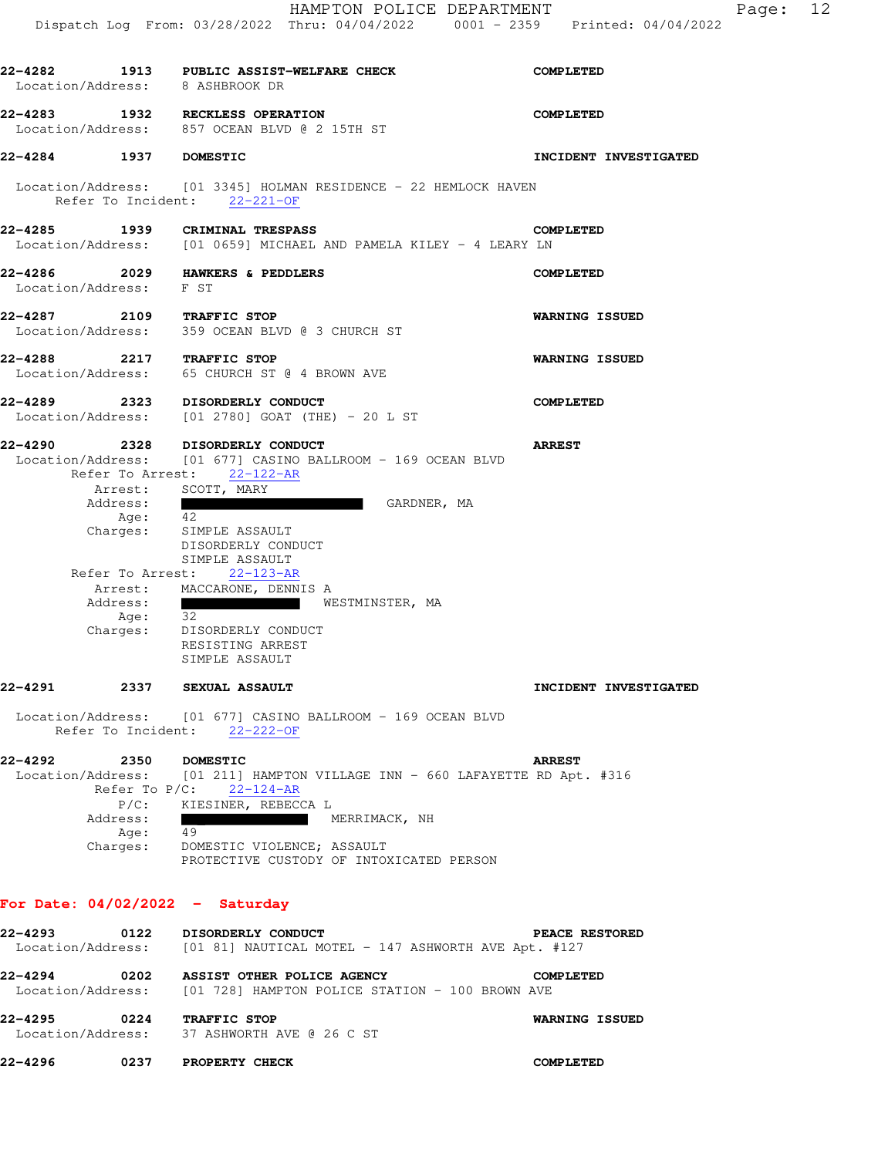| Location/Address: 8 ASHBROOK DR |         | 22-4282 1913 PUBLIC ASSIST-WELFARE CHECK                                                                                     | <b>COMPLETED</b>      |
|---------------------------------|---------|------------------------------------------------------------------------------------------------------------------------------|-----------------------|
|                                 |         | 22-4283 1932 RECKLESS OPERATION<br>Location/Address: 857 OCEAN BLVD @ 2 15TH ST                                              | <b>COMPLETED</b>      |
| 22-4284 1937 DOMESTIC           |         |                                                                                                                              | INCIDENT INVESTIGATED |
|                                 |         | Location/Address: [01 3345] HOLMAN RESIDENCE - 22 HEMLOCK HAVEN<br>Refer To Incident: 22-221-OF                              |                       |
|                                 |         | 22-4285 1939 CRIMINAL TRESPASS COM<br>Location/Address: [01 0659] MICHAEL AND PAMELA KILEY - 4 LEARY LN                      | <b>COMPLETED</b>      |
| Location/Address: F ST          |         | 22-4286 2029 HAWKERS & PEDDLERS                                                                                              | <b>COMPLETED</b>      |
| 22-4287 2109 TRAFFIC STOP       |         | Location/Address: 359 OCEAN BLVD @ 3 CHURCH ST                                                                               | <b>WARNING ISSUED</b> |
| 22-4288 2217 TRAFFIC STOP       |         | Location/Address: 65 CHURCH ST @ 4 BROWN AVE                                                                                 | <b>WARNING ISSUED</b> |
|                                 |         | 22-4289 2323 DISORDERLY CONDUCT<br>Location/Address: [01 2780] GOAT (THE) - 20 L ST                                          | <b>COMPLETED</b>      |
|                                 |         | 22-4290 2328 DISORDERLY CONDUCT<br>Location/Address: [01 677] CASINO BALLROOM - 169 OCEAN BLVD<br>Refer To Arrest: 22-122-AR | <b>ARREST</b>         |
|                                 | Age:    | Arrest: SCOTT, MARY<br>Address:<br>GARDNER, MA<br>42                                                                         |                       |
|                                 |         | Charges: SIMPLE ASSAULT<br>DISORDERLY CONDUCT<br>SIMPLE ASSAULT                                                              |                       |
|                                 |         | Refer To Arrest: 22-123-AR                                                                                                   |                       |
|                                 |         | Arrest: MACCARONE, DENNIS A                                                                                                  |                       |
| Address:                        |         | WESTMINSTER, MA                                                                                                              |                       |
|                                 |         | Age: 32<br>Charges: DISORDERLY CONDUCT<br>RESISTING ARREST<br>SIMPLE ASSAULT                                                 |                       |
| 22-4291                         |         | <b>2337 SEXUAL ASSAULT</b>                                                                                                   | INCIDENT INVESTIGATED |
| Refer To Incident:              |         | Location/Address: [01 677] CASINO BALLROOM - 169 OCEAN BLVD<br>$22 - 222 - 0F$                                               |                       |
| 22-4292                         | 2350    | <b>DOMESTIC</b>                                                                                                              | <b>ARREST</b>         |
| Location/Address:               |         | [01 211] HAMPTON VILLAGE INN - 660 LAFAYETTE RD Apt. #316<br>Refer To $P/C: 22-124-AR$                                       |                       |
|                                 | $P/C$ : | KIESINER, REBECCA L                                                                                                          |                       |
| Address:                        |         | MERRIMACK, NH                                                                                                                |                       |
|                                 | Age:    | 49                                                                                                                           |                       |
| Charges:                        |         | DOMESTIC VIOLENCE; ASSAULT<br>PROTECTIVE CUSTODY OF INTOXICATED PERSON                                                       |                       |

## **For Date: 04/02/2022 - Saturday**

| 22-4293           | 0122 | DISORDERLY CONDUCT                                  | PEACE RESTORED        |  |
|-------------------|------|-----------------------------------------------------|-----------------------|--|
| Location/Address: |      | [01 81] NAUTICAL MOTEL - 147 ASHWORTH AVE Apt. #127 |                       |  |
| 22-4294           | 0202 | ASSIST OTHER POLICE AGENCY                          | <b>COMPLETED</b>      |  |
| Location/Address: |      | [01 728] HAMPTON POLICE STATION - 100 BROWN AVE     |                       |  |
| 22-4295           | 0224 | TRAFFIC STOP                                        | <b>WARNING ISSUED</b> |  |
|                   |      | Location/Address: 37 ASHWORTH AVE @ 26 C ST         |                       |  |
| 22–4296           | 0237 | PROPERTY CHECK                                      | COMPLETED             |  |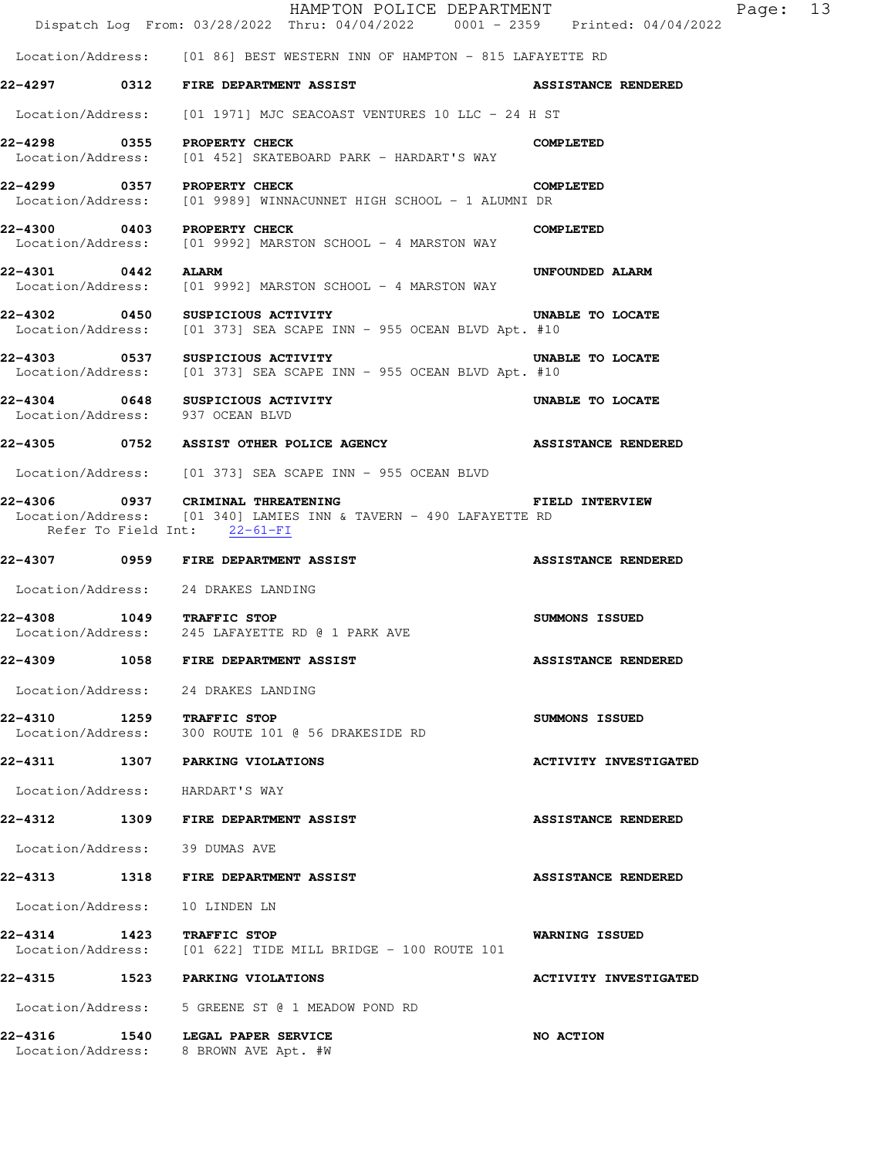|                                                                      | HAMPTON POLICE DEPARTMENT<br>Dispatch Log From: 03/28/2022 Thru: 04/04/2022 0001 - 2359 Printed: 04/04/2022     |                              |
|----------------------------------------------------------------------|-----------------------------------------------------------------------------------------------------------------|------------------------------|
|                                                                      | Location/Address: [01 86] BEST WESTERN INN OF HAMPTON - 815 LAFAYETTE RD                                        |                              |
|                                                                      | 22-4297 0312 FIRE DEPARTMENT ASSIST                                                                             | <b>ASSISTANCE RENDERED</b>   |
|                                                                      | Location/Address: [01 1971] MJC SEACOAST VENTURES 10 LLC - 24 H ST                                              |                              |
| 22-4298 0355 PROPERTY CHECK                                          | Location/Address: [01 452] SKATEBOARD PARK - HARDART'S WAY                                                      | <b>COMPLETED</b>             |
| 22-4299 0357 PROPERTY CHECK                                          | Location/Address: [01 9989] WINNACUNNET HIGH SCHOOL - 1 ALUMNI DR                                               | <b>COMPLETED</b>             |
| 22-4300 0403 PROPERTY CHECK                                          | Location/Address: [01 9992] MARSTON SCHOOL - 4 MARSTON WAY                                                      | <b>COMPLETED</b>             |
| 0442 ALARM<br>22-4301                                                | Location/Address: [01 9992] MARSTON SCHOOL - 4 MARSTON WAY                                                      | UNFOUNDED ALARM              |
| 22-4302 0450 SUSPICIOUS ACTIVITY                                     | Location/Address: [01 373] SEA SCAPE INN - 955 OCEAN BLVD Apt. #10                                              | UNABLE TO LOCATE             |
|                                                                      | <b>22-4303 0537 SUSPICIOUS ACTIVITY</b> UNAE Location/Address: [01 373] SEA SCAPE INN - 955 OCEAN BLVD Apt. #10 | UNABLE TO LOCATE             |
| 22-4304 0648 SUSPICIOUS ACTIVITY<br>Location/Address: 937 OCEAN BLVD |                                                                                                                 | UNABLE TO LOCATE             |
|                                                                      | 22-4305 0752 ASSIST OTHER POLICE AGENCY                                                                         | <b>ASSISTANCE RENDERED</b>   |
|                                                                      | Location/Address: [01 373] SEA SCAPE INN - 955 OCEAN BLVD                                                       |                              |
| 22-4306 0937 CRIMINAL THREATENING<br>Refer To Field Int: 22-61-FI    | Location/Address: [01 340] LAMIES INN & TAVERN - 490 LAFAYETTE RD                                               | <b>FIELD INTERVIEW</b>       |
|                                                                      | 22-4307 0959 FIRE DEPARTMENT ASSIST                                                                             | <b>ASSISTANCE RENDERED</b>   |
| Location/Address: 24 DRAKES LANDING                                  |                                                                                                                 |                              |
| 22-4308 1049 TRAFFIC STOP                                            | Location/Address: 245 LAFAYETTE RD @ 1 PARK AVE                                                                 | <b>SUMMONS ISSUED</b>        |
| 22-4309                                                              | <b>1058 FIRE DEPARTMENT ASSIST</b>                                                                              | <b>ASSISTANCE RENDERED</b>   |
| Location/Address: 24 DRAKES LANDING                                  |                                                                                                                 |                              |
| 22-4310 1259 TRAFFIC STOP                                            | Location/Address: 300 ROUTE 101 @ 56 DRAKESIDE RD                                                               | <b>SUMMONS ISSUED</b>        |
| 22-4311 1307 PARKING VIOLATIONS                                      |                                                                                                                 | <b>ACTIVITY INVESTIGATED</b> |
| Location/Address: HARDART'S WAY                                      |                                                                                                                 |                              |
|                                                                      | 22-4312 1309 FIRE DEPARTMENT ASSIST                                                                             | <b>ASSISTANCE RENDERED</b>   |
| Location/Address: 39 DUMAS AVE                                       |                                                                                                                 |                              |
|                                                                      | 22-4313 1318 FIRE DEPARTMENT ASSIST                                                                             | <b>ASSISTANCE RENDERED</b>   |
| Location/Address: 10 LINDEN LN                                       |                                                                                                                 |                              |
| 22-4314 1423 TRAFFIC STOP                                            | Location/Address: [01 622] TIDE MILL BRIDGE - 100 ROUTE 101                                                     | <b>WARNING ISSUED</b>        |
| 22-4315 1523 PARKING VIOLATIONS                                      |                                                                                                                 | <b>ACTIVITY INVESTIGATED</b> |
|                                                                      | Location/Address: 5 GREENE ST @ 1 MEADOW POND RD                                                                |                              |
| 22-4316<br>Location/Address: 8 BROWN AVE Apt. #W                     | 1540 LEGAL PAPER SERVICE                                                                                        | NO ACTION                    |

Page: 13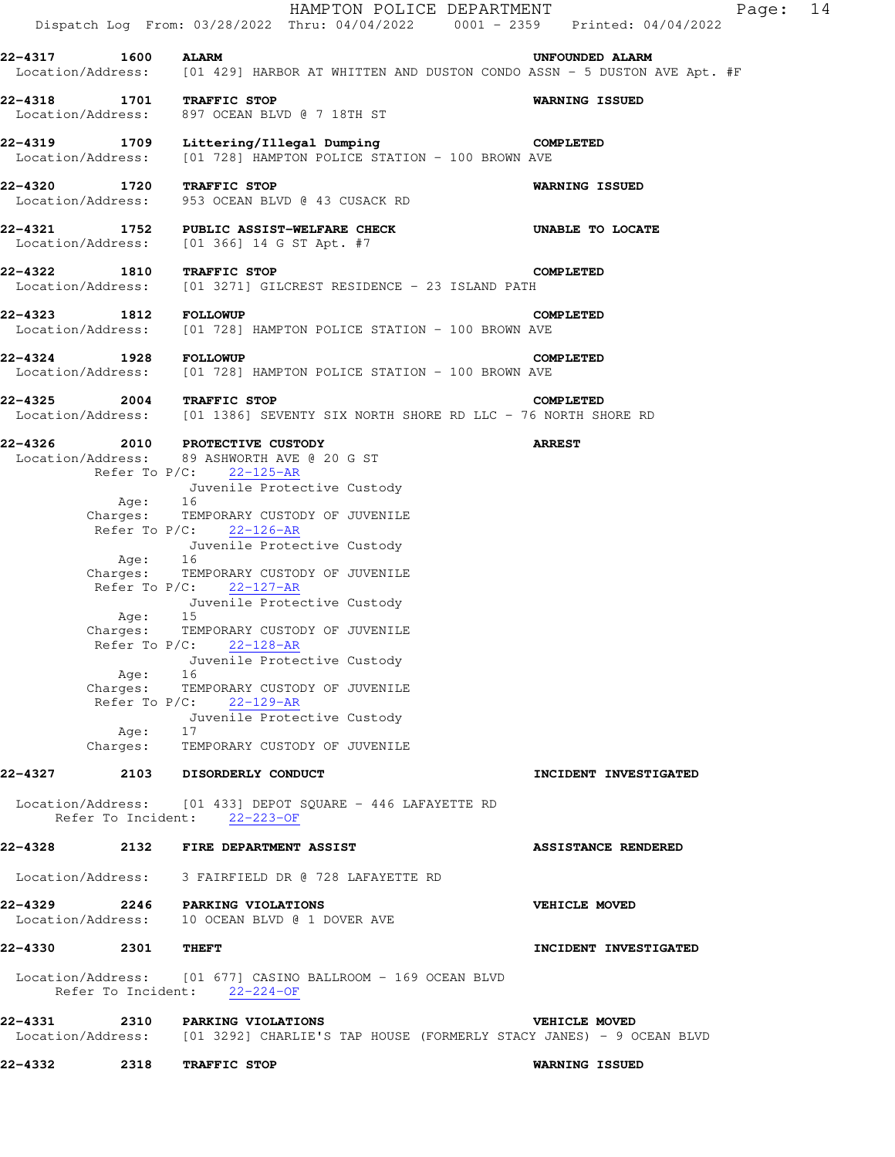HAMPTON POLICE DEPARTMENT Fage: 14 Dispatch Log From: 03/28/2022 Thru: 04/04/2022 0001 - 2359 Printed: 04/04/2022 **22-4317 1600 ALARM UNFOUNDED ALARM**  Location/Address: [01 429] HARBOR AT WHITTEN AND DUSTON CONDO ASSN - 5 DUSTON AVE Apt. #F **22-4318 1701 TRAFFIC STOP WARNING ISSUED**  Location/Address: 897 OCEAN BLVD @ 7 18TH ST **22-4319 1709 Littering/Illegal Dumping COMPLETED**  Location/Address: [01 728] HAMPTON POLICE STATION - 100 BROWN AVE **22-4320 1720 TRAFFIC STOP WARNING ISSUED**<br>
Location/Address: 953 OCEAN BLVD @ 43 CUSACK RD 953 OCEAN BLVD @ 43 CUSACK RD **22-4321 1752 PUBLIC ASSIST-WELFARE CHECK UNABLE TO LOCATE** Location/Address: [01 366] 14 G ST Apt. #7  $[01 366] 14 G ST Apt. #7$ **22-4322 1810 TRAFFIC STOP COMPLETED**  Location/Address: [01 3271] GILCREST RESIDENCE - 23 ISLAND PATH **22-4323 1812 FOLLOWUP COMPLETED**  Location/Address: [01 728] HAMPTON POLICE STATION - 100 BROWN AVE **22-4324 1928 FOLLOWUP COMPLETED**  Location/Address: [01 728] HAMPTON POLICE STATION - 100 BROWN AVE **22-4325 2004 TRAFFIC STOP COMPLETED**  Location/Address: [01 1386] SEVENTY SIX NORTH SHORE RD LLC - 76 NORTH SHORE RD **22-4326 2010 PROTECTIVE CUSTODY ARREST**  Location/Address: 89 ASHWORTH AVE @ 20 G ST Refer To P/C: 22-125-AR Juvenile Protective Custody Age: 16 Charges: TEMPORARY CUSTODY OF JUVENILE Refer To P/C: 22-126-AR Juvenile Protective Custody Age: 16 Charges: TEMPORARY CUSTODY OF JUVENILE Refer To P/C: 22-127-AR Juvenile Protective Custody Age: 15 Charges: TEMPORARY CUSTODY OF JUVENILE Refer To P/C: 22-128-AR Juvenile Protective Custody Age: 16 Charges: TEMPORARY CUSTODY OF JUVENILE Refer To P/C: 22-129-AR Juvenile Protective Custody Age: 17<br>Charges: TEM TEMPORARY CUSTODY OF JUVENILE **22-4327 2103 DISORDERLY CONDUCT INCIDENT INVESTIGATED**  Location/Address: [01 433] DEPOT SQUARE - 446 LAFAYETTE RD Refer To Incident: 22-223-OF **22-4328 2132 FIRE DEPARTMENT ASSIST ASSISTANCE RENDERED**  Location/Address: 3 FAIRFIELD DR @ 728 LAFAYETTE RD **22-4329 2246 PARKING VIOLATIONS VEHICLE MOVED**  Location/Address: 10 OCEAN BLVD @ 1 DOVER AVE **22-4330 2301 THEFT INCIDENT INVESTIGATED**  Location/Address: [01 677] CASINO BALLROOM - 169 OCEAN BLVD Refer To Incident: 22-224-OF **22-4331 2310 PARKING VIOLATIONS VEHICLE MOVED**  Location/Address: [01 3292] CHARLIE'S TAP HOUSE (FORMERLY STACY JANES) - 9 OCEAN BLVD **22-4332 2318 TRAFFIC STOP WARNING ISSUED**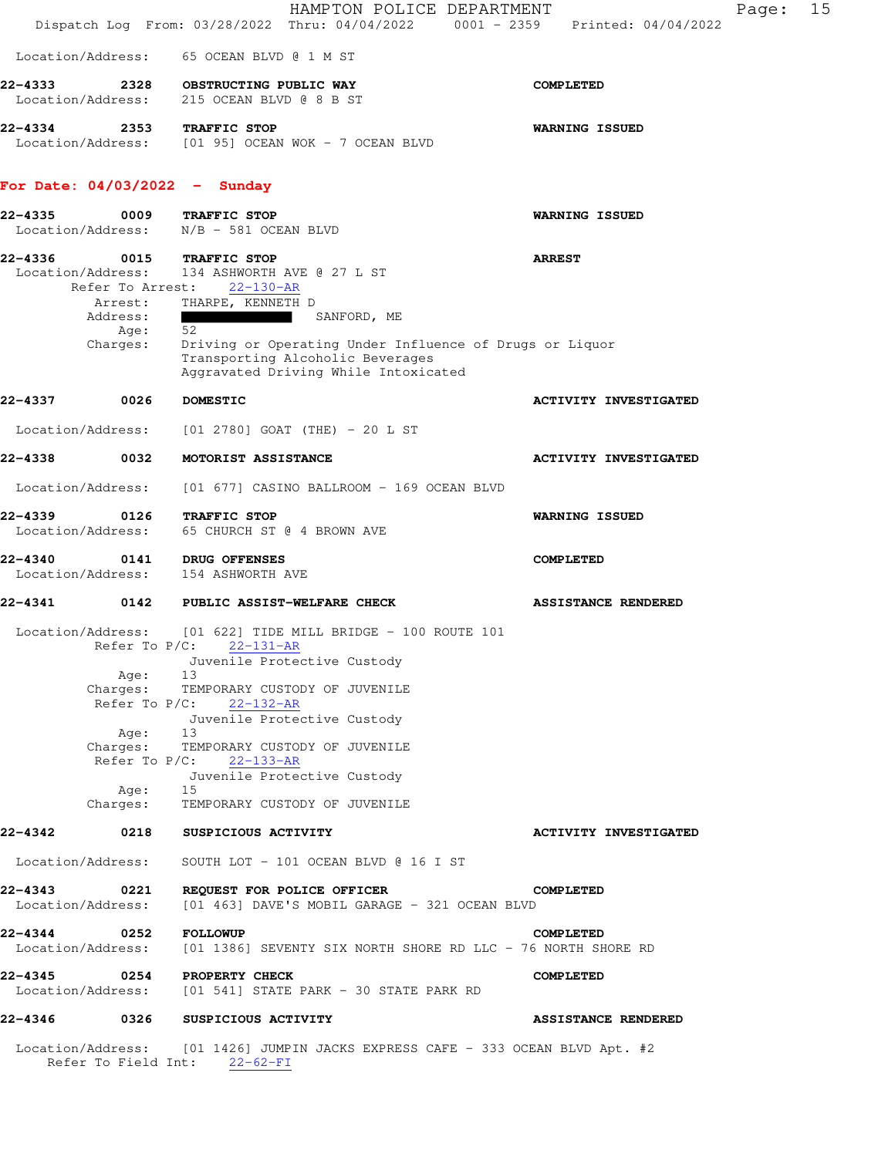|                                   |                                                                                                                                                                                                                                                                         | HAMPTON POLICE DEPARTMENT                                                                                                                  | Dispatch Log From: 03/28/2022 Thru: 04/04/2022 0001 - 2359 Printed: 04/04/2022 | Page: | 15 |
|-----------------------------------|-------------------------------------------------------------------------------------------------------------------------------------------------------------------------------------------------------------------------------------------------------------------------|--------------------------------------------------------------------------------------------------------------------------------------------|--------------------------------------------------------------------------------|-------|----|
| Location/Address:                 | 65 OCEAN BLVD @ 1 M ST                                                                                                                                                                                                                                                  |                                                                                                                                            |                                                                                |       |    |
| 22-4333<br>Location/Address:      | 2328<br>OBSTRUCTING PUBLIC WAY<br>215 OCEAN BLVD @ 8 B ST                                                                                                                                                                                                               |                                                                                                                                            | <b>COMPLETED</b>                                                               |       |    |
| 22-4334<br>Location/Address:      | 2353<br>TRAFFIC STOP                                                                                                                                                                                                                                                    | [01 95] OCEAN WOK - 7 OCEAN BLVD                                                                                                           | <b>WARNING ISSUED</b>                                                          |       |    |
|                                   | For Date: $04/03/2022 -$ Sunday                                                                                                                                                                                                                                         |                                                                                                                                            |                                                                                |       |    |
| 22-4335<br>Location/Address:      | 0009<br>TRAFFIC STOP<br>$N/B$ - 581 OCEAN BLVD                                                                                                                                                                                                                          |                                                                                                                                            | <b>WARNING ISSUED</b>                                                          |       |    |
| 22-4336<br>Location/Address:      | 0015<br>TRAFFIC STOP<br>Refer To Arrest:<br>$22 - 130 - AR$                                                                                                                                                                                                             | 134 ASHWORTH AVE @ 27 L ST                                                                                                                 | <b>ARREST</b>                                                                  |       |    |
| Arrest:<br>Address:               | THARPE, KENNETH D<br><u> Party Maria and Barbara and Barbara and Barbara and Barbara and Barbara and Barbara and Barbara and Barbara and Barbara and Barbara and Barbara and Barbara and Barbara and Barbara and Barbara and Barbara and Barbara and </u><br>52<br>Age: | SANFORD, ME                                                                                                                                |                                                                                |       |    |
| Charges:                          |                                                                                                                                                                                                                                                                         | Driving or Operating Under Influence of Drugs or Liquor<br>Transporting Alcoholic Beverages<br>Aggravated Driving While Intoxicated        |                                                                                |       |    |
| 22-4337                           | 0026<br><b>DOMESTIC</b>                                                                                                                                                                                                                                                 |                                                                                                                                            | <b>ACTIVITY INVESTIGATED</b>                                                   |       |    |
| Location/Address:                 |                                                                                                                                                                                                                                                                         | $[01 2780]$ GOAT (THE) - 20 L ST                                                                                                           |                                                                                |       |    |
| 22-4338                           | 0032<br>MOTORIST ASSISTANCE                                                                                                                                                                                                                                             |                                                                                                                                            | <b>ACTIVITY INVESTIGATED</b>                                                   |       |    |
| Location/Address:                 |                                                                                                                                                                                                                                                                         | $[01 677]$ CASINO BALLROOM - 169 OCEAN BLVD                                                                                                |                                                                                |       |    |
| 22-4339<br>Location/Address:      | 0126<br>TRAFFIC STOP                                                                                                                                                                                                                                                    | 65 CHURCH ST @ 4 BROWN AVE                                                                                                                 | <b>WARNING ISSUED</b>                                                          |       |    |
| 22-4340<br>Location/Address:      | 0141<br>DRUG OFFENSES<br>154 ASHWORTH AVE                                                                                                                                                                                                                               |                                                                                                                                            | <b>COMPLETED</b>                                                               |       |    |
| 22-4341                           | 0142                                                                                                                                                                                                                                                                    | PUBLIC ASSIST-WELFARE CHECK                                                                                                                | <b>ASSISTANCE RENDERED</b>                                                     |       |    |
| Location/Address:<br>Charges:     | Refer To $P/C$ :<br>$22 - 131 - AR$<br>13<br>Age:<br>Refer To $P/C$ :<br>$22 - 132 - AR$                                                                                                                                                                                | $[01 622]$ TIDE MILL BRIDGE - 100 ROUTE 101<br>Juvenile Protective Custody<br>TEMPORARY CUSTODY OF JUVENILE<br>Juvenile Protective Custody |                                                                                |       |    |
|                                   | 13<br>Age:<br>Charges: TEMPORARY CUSTODY OF JUVENILE<br>Refer To $P/C$ :<br>$22 - 133 - AR$                                                                                                                                                                             |                                                                                                                                            |                                                                                |       |    |
| Charges:                          | Age:<br>15                                                                                                                                                                                                                                                              | Juvenile Protective Custody<br>TEMPORARY CUSTODY OF JUVENILE                                                                               |                                                                                |       |    |
| 22-4342                           | 0218<br>SUSPICIOUS ACTIVITY                                                                                                                                                                                                                                             |                                                                                                                                            | <b>ACTIVITY INVESTIGATED</b>                                                   |       |    |
| Location/Address:                 |                                                                                                                                                                                                                                                                         | SOUTH LOT - 101 OCEAN BLVD @ 16 I ST                                                                                                       |                                                                                |       |    |
| 22-4343 0221<br>Location/Address: |                                                                                                                                                                                                                                                                         | REQUEST FOR POLICE OFFICER<br>$[01 463]$ DAVE'S MOBIL GARAGE - 321 OCEAN BLVD                                                              | <b>COMPLETED</b>                                                               |       |    |
| 22-4344<br>Location/Address:      | 0252<br><b>FOLLOWUP</b>                                                                                                                                                                                                                                                 | $[01\;1386]$ SEVENTY SIX NORTH SHORE RD LLC - 76 NORTH SHORE RD                                                                            | <b>COMPLETED</b>                                                               |       |    |
| Location/Address:                 | 22-4345 0254 PROPERTY CHECK                                                                                                                                                                                                                                             | [01 541] STATE PARK - 30 STATE PARK RD                                                                                                     | <b>COMPLETED</b>                                                               |       |    |
| 22-4346                           | 0326 SUSPICIOUS ACTIVITY                                                                                                                                                                                                                                                |                                                                                                                                            | <b>ASSISTANCE RENDERED</b>                                                     |       |    |
|                                   | Refer To Field Int: 22-62-FI                                                                                                                                                                                                                                            | Location/Address: [01 1426] JUMPIN JACKS EXPRESS CAFE - 333 OCEAN BLVD Apt. #2                                                             |                                                                                |       |    |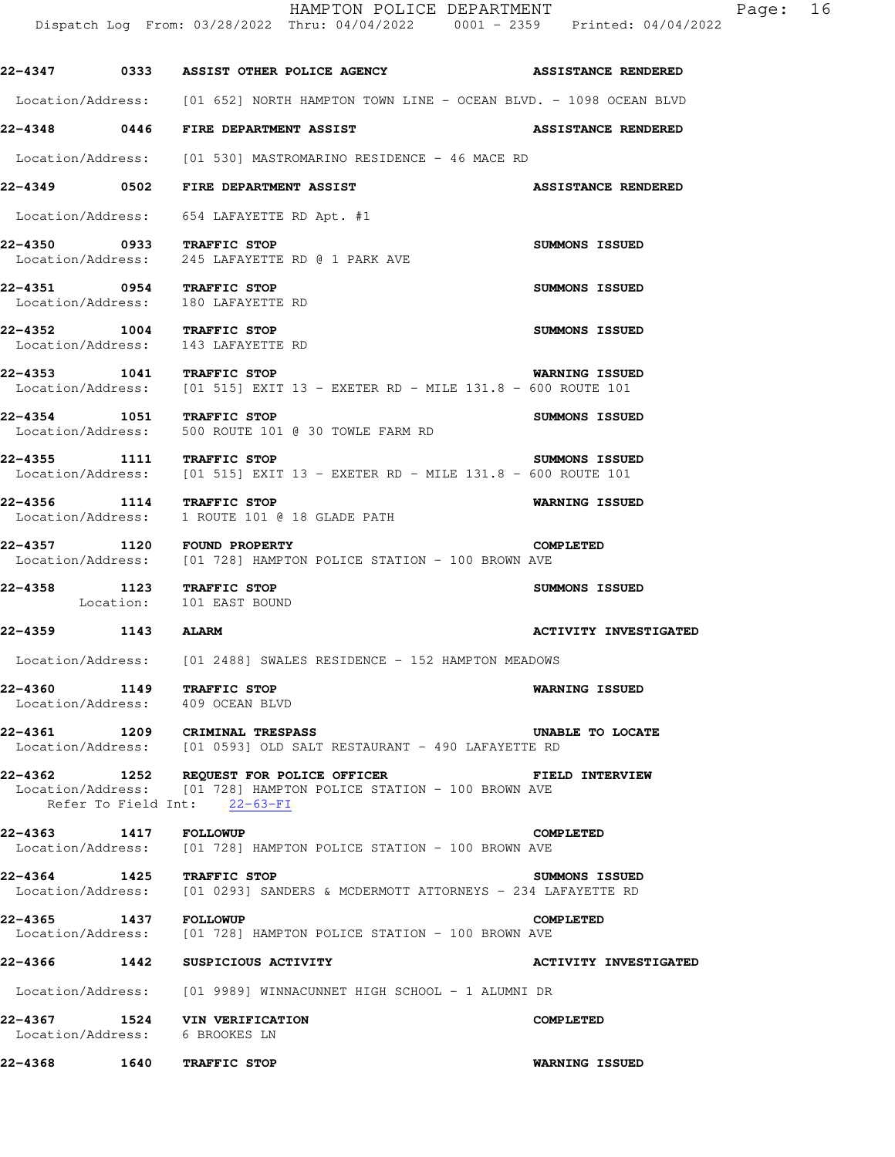HAMPTON POLICE DEPARTMENT Fage: 16 Dispatch Log From: 03/28/2022 Thru: 04/04/2022 0001 - 2359 Printed: 04/04/2022 **22-4347 0333 ASSIST OTHER POLICE AGENCY ASSISTANCE RENDERED**  Location/Address: [01 652] NORTH HAMPTON TOWN LINE - OCEAN BLVD. - 1098 OCEAN BLVD **22-4348 0446 FIRE DEPARTMENT ASSIST ASSISTANCE RENDERED**  Location/Address: [01 530] MASTROMARINO RESIDENCE - 46 MACE RD **22-4349 0502 FIRE DEPARTMENT ASSIST ASSISTANCE RENDERED**  Location/Address: 654 LAFAYETTE RD Apt. #1 **22-4350 0933 TRAFFIC STOP SUMMONS ISSUED**  Location/Address: 245 LAFAYETTE RD @ 1 PARK AVE **22-4351 0954 TRAFFIC STOP SUMMONS ISSUED**  Location/Address: 180 LAFAYETTE RD **22-4352 1004 TRAFFIC STOP SUMMONS ISSUED**<br>
Location/Address: 143 LAFAYETTE RD

**22-4353 1041 TRAFFIC STOP WARNING ISSUED**  Location/Address: [01 515] EXIT 13 - EXETER RD - MILE 131.8 - 600 ROUTE 101

**22-4354** 1051 TRAFFIC STOP **100 CONSTRAINER SUMMONS ISSUED** Location/Address: 500 ROUTE 101 @ 30 TOWLE FARM RD

**22-4355 1111 TRAFFIC STOP SUMMONS ISSUED**  Location/Address: [01 515] EXIT 13 - EXETER RD - MILE 131.8 - 600 ROUTE 101

**22-4356 1114 TRAFFIC STOP WARNING ISSUED**  Location/Address: 1 ROUTE 101 @ 18 GLADE PATH

**22-4357 1120 FOUND PROPERTY COMPLETED**  Location/Address: [01 728] HAMPTON POLICE STATION - 100 BROWN AVE

**22-4358 1123 TRAFFIC STOP SUMMONS ISSUED**  Location: 101 EAST BOUND

**22-4359 1143 ALARM ACTIVITY INVESTIGATED** 

Location/Address:

Location/Address: [01 2488] SWALES RESIDENCE - 152 HAMPTON MEADOWS

**22-4360 1149 TRAFFIC STOP WARNING ISSUED**  Location/Address: 409 OCEAN BLVD

**22-4361 1209 CRIMINAL TRESPASS UNABLE TO LOCATE**  Location/Address: [01 0593] OLD SALT RESTAURANT - 490 LAFAYETTE RD

**22-4362 1252 REQUEST FOR POLICE OFFICER FIELD INTERVIEW**  Location/Address: [01 728] HAMPTON POLICE STATION - 100 BROWN AVE Refer To Field Int: 22-63-FI

**22-4363 1417 FOLLOWUP COMPLETED**  Location/Address: [01 728] HAMPTON POLICE STATION - 100 BROWN AVE

**22-4364 1425 TRAFFIC STOP SUMMONS ISSUED**  Location/Address: [01 0293] SANDERS & MCDERMOTT ATTORNEYS - 234 LAFAYETTE RD

**22-4365 1437 FOLLOWUP COMPLETED**  Location/Address: [01 728] HAMPTON POLICE STATION - 100 BROWN AVE

**22-4366 1442 SUSPICIOUS ACTIVITY ACTIVITY INVESTIGATED** 

Location/Address: [01 9989] WINNACUNNET HIGH SCHOOL - 1 ALUMNI DR

**22-4367 1524 VIN VERIFICATION COMPLETED**  Location/Address: 6 BROOKES LN

**22-4368 1640 TRAFFIC STOP WARNING ISSUED**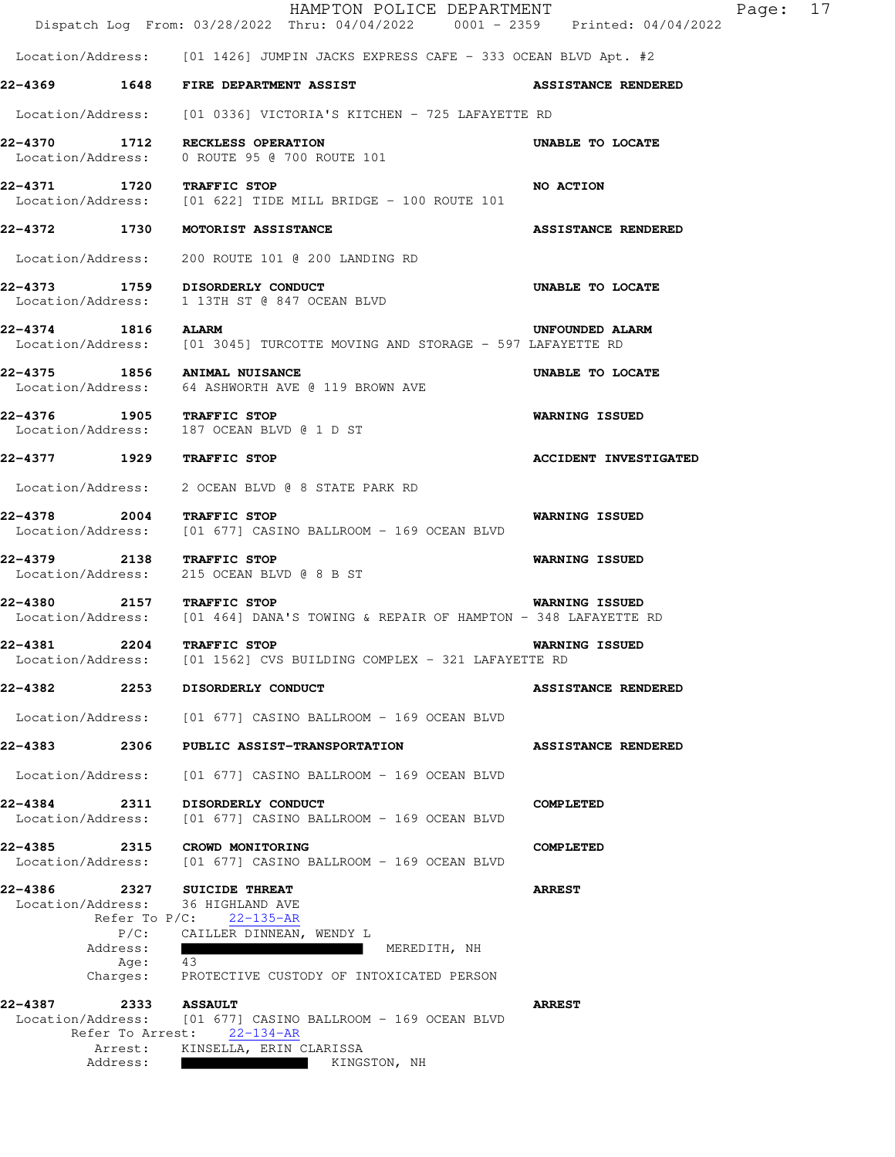|                                                                           | HAMPTON POLICE DEPARTMENT<br>Dispatch Log From: 03/28/2022 Thru: 04/04/2022 0001 - 2359 Printed: 04/04/2022                                                            | Page: 17                     |
|---------------------------------------------------------------------------|------------------------------------------------------------------------------------------------------------------------------------------------------------------------|------------------------------|
|                                                                           | Location/Address: [01 1426] JUMPIN JACKS EXPRESS CAFE - 333 OCEAN BLVD Apt. #2                                                                                         |                              |
|                                                                           | 22-4369 1648 FIRE DEPARTMENT ASSIST                                                                                                                                    | <b>ASSISTANCE RENDERED</b>   |
|                                                                           | Location/Address: [01 0336] VICTORIA'S KITCHEN - 725 LAFAYETTE RD                                                                                                      |                              |
| 22-4370 1712 RECKLESS OPERATION                                           | Location/Address: 0 ROUTE 95 @ 700 ROUTE 101                                                                                                                           | UNABLE TO LOCATE             |
| 22-4371 1720 TRAFFIC STOP                                                 | Location/Address: [01 622] TIDE MILL BRIDGE - 100 ROUTE 101                                                                                                            | <b>NO ACTION</b>             |
| 22-4372 1730 MOTORIST ASSISTANCE                                          |                                                                                                                                                                        | <b>ASSISTANCE RENDERED</b>   |
|                                                                           | Location/Address: 200 ROUTE 101 @ 200 LANDING RD                                                                                                                       |                              |
| 22-4373 1759 DISORDERLY CONDUCT                                           | Location/Address: 1 13TH ST @ 847 OCEAN BLVD                                                                                                                           | UNABLE TO LOCATE             |
| 22-4374 1816 ALARM                                                        | Location/Address: [01 3045] TURCOTTE MOVING AND STORAGE - 597 LAFAYETTE RD                                                                                             | UNFOUNDED ALARM              |
| 22-4375 1856 ANIMAL NUISANCE                                              | Location/Address: 64 ASHWORTH AVE @ 119 BROWN AVE                                                                                                                      | UNABLE TO LOCATE             |
| 22-4376 1905 TRAFFIC STOP                                                 | Location/Address: 187 OCEAN BLVD @ 1 D ST                                                                                                                              | <b>WARNING ISSUED</b>        |
| 22-4377 1929 TRAFFIC STOP                                                 |                                                                                                                                                                        | <b>ACCIDENT INVESTIGATED</b> |
|                                                                           | Location/Address: 2 OCEAN BLVD @ 8 STATE PARK RD                                                                                                                       |                              |
| 22-4378 2004 TRAFFIC STOP                                                 | Location/Address: [01 677] CASINO BALLROOM - 169 OCEAN BLVD                                                                                                            | <b>WARNING ISSUED</b>        |
| 22-4379 2138 TRAFFIC STOP                                                 | Location/Address: 215 OCEAN BLVD @ 8 B ST                                                                                                                              | <b>WARNING ISSUED</b>        |
| 2157 TRAFFIC STOP<br>22-4380                                              | Location/Address: [01 464] DANA'S TOWING & REPAIR OF HAMPTON - 348 LAFAYETTE RD                                                                                        | <b>WARNING ISSUED</b>        |
| 2204<br>22-4381<br>Location/Address:                                      | TRAFFIC STOP<br>[01 1562] CVS BUILDING COMPLEX - 321 LAFAYETTE RD                                                                                                      | <b>WARNING ISSUED</b>        |
| 22-4382<br>2253                                                           | DISORDERLY CONDUCT                                                                                                                                                     | <b>ASSISTANCE RENDERED</b>   |
| Location/Address:                                                         | $[01 677]$ CASINO BALLROOM - 169 OCEAN BLVD                                                                                                                            |                              |
| 2306<br>22-4383                                                           | PUBLIC ASSIST-TRANSPORTATION                                                                                                                                           | <b>ASSISTANCE RENDERED</b>   |
| Location/Address:                                                         | [01 677] CASINO BALLROOM - 169 OCEAN BLVD                                                                                                                              |                              |
| 22-4384<br>2311<br>Location/Address:                                      | DISORDERLY CONDUCT<br>$[01 677]$ CASINO BALLROOM - 169 OCEAN BLVD                                                                                                      | <b>COMPLETED</b>             |
| 22-4385 2315 CROWD MONITORING<br>Location/Address:                        | [01 677] CASINO BALLROOM - 169 OCEAN BLVD                                                                                                                              | <b>COMPLETED</b>             |
| 22-4386<br>Location/Address:<br>Address:<br>Age:<br>Charges:              | 2327 SUICIDE THREAT<br>36 HIGHLAND AVE<br>Refer To $P/C: 22-135-AR$<br>P/C: CAILLER DINNEAN, WENDY L<br>MEREDITH, NH<br>43<br>PROTECTIVE CUSTODY OF INTOXICATED PERSON | <b>ARREST</b>                |
| 22-4387<br><b>2333 ASSAULT</b><br>Refer To Arrest:<br>Arrest:<br>Address: | Location/Address: [01 677] CASINO BALLROOM - 169 OCEAN BLVD<br>$22 - 134 - AR$<br>KINSELLA, ERIN CLARISSA<br>KINGSTON, NH                                              | <b>ARREST</b>                |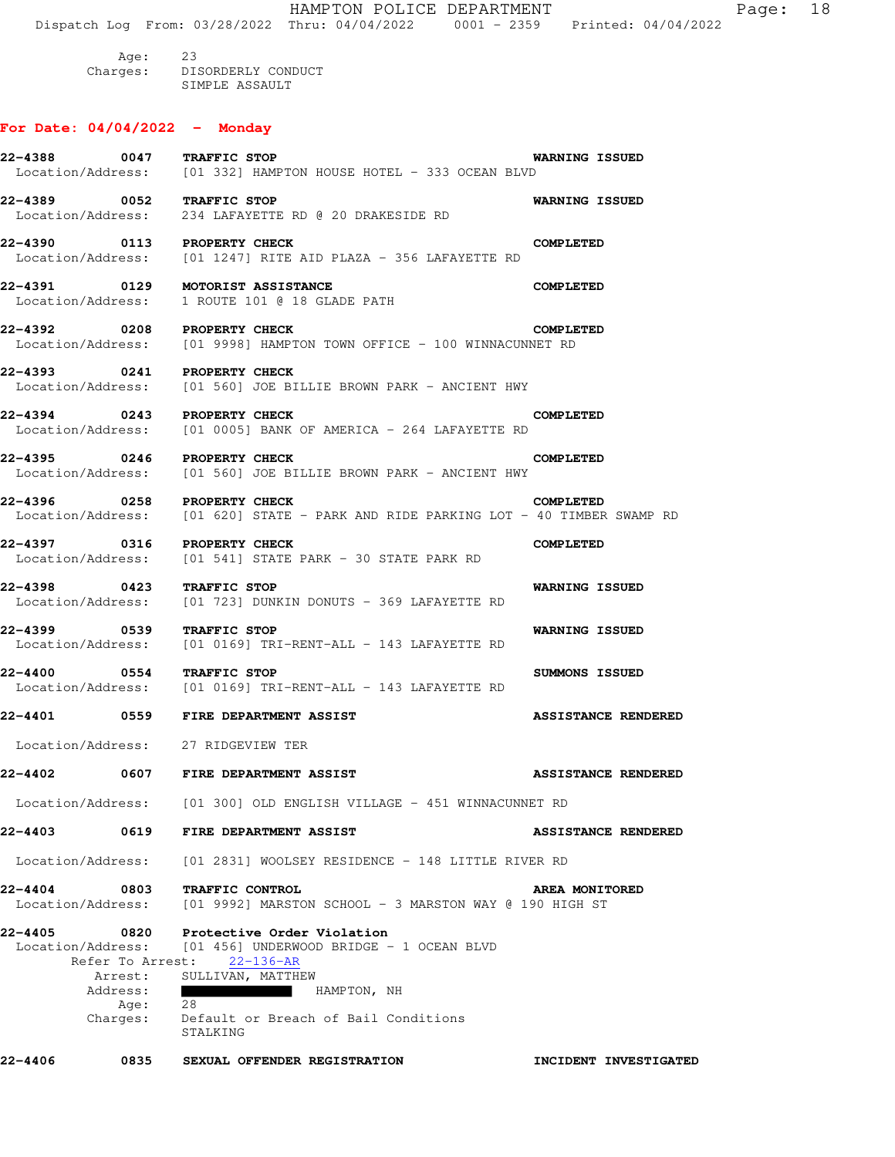Age: 23 Charges: DISORDERLY CONDUCT SIMPLE ASSAULT

## **For Date: 04/04/2022 - Monday**

**22-4388 0047 TRAFFIC STOP WARNING ISSUED**  Location/Address: [01 332] HAMPTON HOUSE HOTEL - 333 OCEAN BLVD **22-4389 0052 TRAFFIC STOP WARNING ISSUED**  Location/Address: 234 LAFAYETTE RD @ 20 DRAKESIDE RD **22-4390 0113 PROPERTY CHECK COMPLETED**  Location/Address: [01 1247] RITE AID PLAZA - 356 LAFAYETTE RD **22-4391 0129 MOTORIST ASSISTANCE COMPLETED**  Location/Address: 1 ROUTE 101 @ 18 GLADE PATH **22-4392 0208 PROPERTY CHECK COMPLETED**  Location/Address: [01 9998] HAMPTON TOWN OFFICE - 100 WINNACUNNET RD **22-4393 0241 PROPERTY CHECK**  Location/Address: [01 560] JOE BILLIE BROWN PARK - ANCIENT HWY **22-4394 0243 PROPERTY CHECK COMPLETED**<br>Location/Address: [01 0005] BANK OF AMERICA - 264 LAFAYETTE RD [01 0005] BANK OF AMERICA - 264 LAFAYETTE RD **22-4395 0246 PROPERTY CHECK COMPLETED**  Location/Address: [01 560] JOE BILLIE BROWN PARK - ANCIENT HWY **22-4396 0258 PROPERTY CHECK COMPLETED**  Location/Address: [01 620] STATE - PARK AND RIDE PARKING LOT - 40 TIMBER SWAMP RD **22-4397 0316 PROPERTY CHECK COMPLETED**  Location/Address: [01 541] STATE PARK - 30 STATE PARK RD **22-4398 0423 TRAFFIC STOP WARNING ISSUED**  Location/Address: [01 723] DUNKIN DONUTS - 369 LAFAYETTE RD **22-4399 0539 TRAFFIC STOP WARNING ISSUED**  Location/Address: [01 0169] TRI-RENT-ALL - 143 LAFAYETTE RD **22-4400 0554 TRAFFIC STOP SUMMONS ISSUED**  Location/Address: [01 0169] TRI-RENT-ALL - 143 LAFAYETTE RD **22-4401 0559 FIRE DEPARTMENT ASSIST ASSISTANCE RENDERED**  Location/Address: 27 RIDGEVIEW TER **22-4402 0607 FIRE DEPARTMENT ASSIST ASSISTANCE RENDERED**  Location/Address: [01 300] OLD ENGLISH VILLAGE - 451 WINNACUNNET RD **22-4403 0619 FIRE DEPARTMENT ASSIST ASSISTANCE RENDERED**  Location/Address: [01 2831] WOOLSEY RESIDENCE - 148 LITTLE RIVER RD **22-4404 0803 TRAFFIC CONTROL AREA MONITORED**  Location/Address: [01 9992] MARSTON SCHOOL - 3 MARSTON WAY @ 190 HIGH ST **22-4405 0820 Protective Order Violation**  Location/Address: [01 456] UNDERWOOD BRIDGE - 1 OCEAN BLVD Refer To Arrest: 22-136-AR Arrest: SULLIVAN, MATTHEW Address:  $\frac{1}{28}$  HAMPTON, NH Age: Charges: Default or Breach of Bail Conditions STALKING **22-4406 0835 SEXUAL OFFENDER REGISTRATION INCIDENT INVESTIGATED**